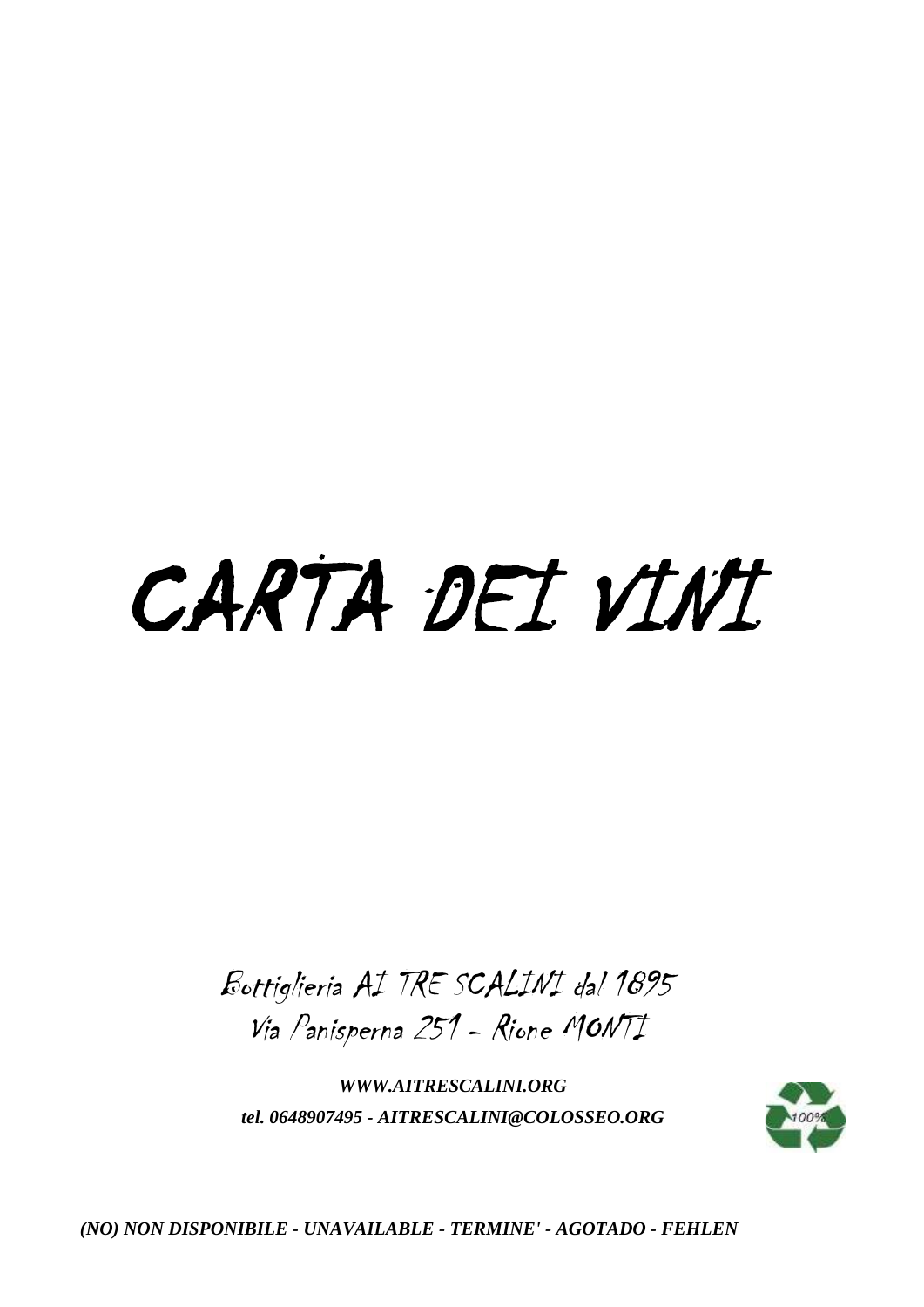# CARTA DEI VINI

Bottiglieria AI TRE SCALINI dal 1895 Via Panisperna 251 - Rione MONTI

*WWW.AITRESCALINI.ORG tel. 0648907495 - AITRESCALINI@COLOSSEO.ORG*

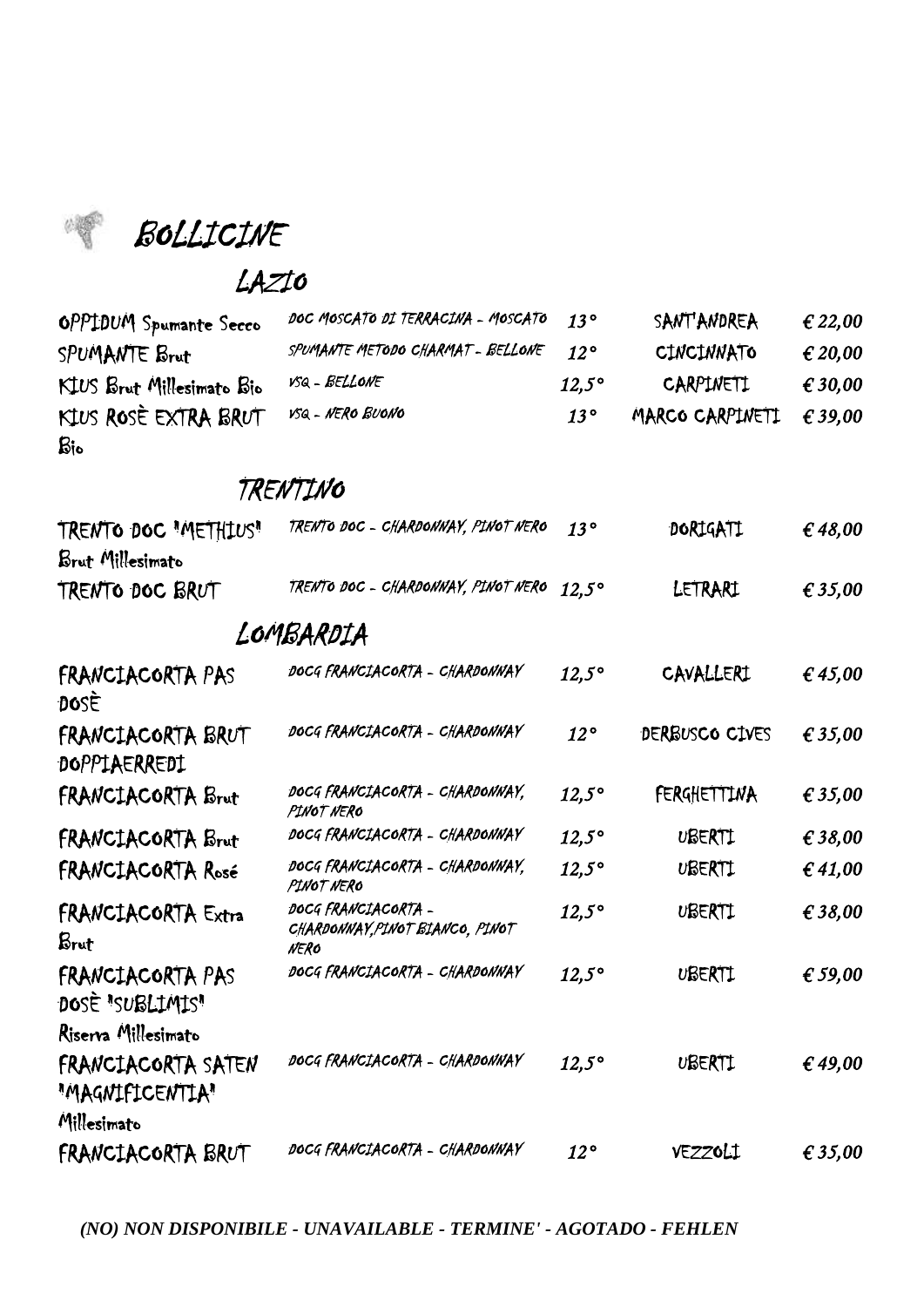BOLLICINE

#### LAZIO

|                                   |              | <b>SANT ANDREA</b>                     | € 22,00          |
|-----------------------------------|--------------|----------------------------------------|------------------|
| SPUMANTE METODO CHARMAT - BELLONE | $12^{\circ}$ | <b>CINCINNATO</b>                      | $\epsilon$ 20,00 |
| VSQ - BELLONE                     | $12.5^\circ$ | CARPINETI                              | $\epsilon$ 30,00 |
| VSQ - NERO BUONO                  | $13^{\circ}$ | MARCO CARPINETI $\epsilon$ 39,00       |                  |
|                                   |              | DOC MOSCATO DI TERRACINA - MOSCATO 13º |                  |

## TRENTINO

| TRENTO DOC "METHIUS"<br>Brut Millesimato | TRENTO DOC - CHARDONNAY, PINOT NERO                            | $13^{\circ}$ | DORIGATI       | €48,00    |
|------------------------------------------|----------------------------------------------------------------|--------------|----------------|-----------|
| TRENTO DOC BRUT                          | TRENTO DOC - CHARDONNAY, PINOT NERO                            | $12.5^\circ$ | LETRARI        | € 35,00   |
|                                          | LOMBARDIA                                                      |              |                |           |
| FRANCIACORTA PAS<br>DOSE                 | DOCG FRANCIACORTA - CHARDONNAY                                 | $12,5^\circ$ | CAVALLERI      | € 45,00   |
| FRANCIACORTA BRUT<br>DOPPIAERREDI        | DOCG FRANCIACORTA - CHARDONNAY                                 | $12^{\circ}$ | DERBUSCO CIVES | € 35,00   |
| FRANCIACORTA Brut                        | DOCG FRANCIACORTA - CHARDONNAY,<br>PINOT NERO                  | $12,5^\circ$ | FERGHETTINA    | € 35,00   |
| FRANCIACORTA Brut                        | DOCG FRANCIACORTA - CHARDONNAY                                 | $12,5^\circ$ | UBERTI         | € $38,00$ |
| FRANCIACORTA Rosé                        | DOCG FRANCIACORTA - CHARDONNAY,<br>PINOT NERO                  | $12,5^\circ$ | UBERTI         | € 41,00   |
| <b>FRANCIACORTA Extra</b><br>Brut        | DOCG FRANCIACORTA -<br>CHARDONNAY, PINOT BIANCO, PINOT<br>NERO | $12,5^\circ$ | UBERTI         | € 38,00   |
| FRANCIACORTA PAS<br>DOSE "SUBLIMIS"      | DOCG FRANCIACORTA - CHARDONNAY                                 | $12,5^\circ$ | UBERTI         | € 59,00   |
| Riserva Millesimato                      |                                                                |              |                |           |
| FRANCIACORTA SATEN<br>"MAGNIFICENTIA"    | DOCG FRANCIACORTA - CHARDONNAY                                 | $12,5^\circ$ | UBERTI         | €49,00    |
| Millesimato<br>FRANCIACORTA BRUT         | DOCG FRANCIACORTA - CHARDONNAY                                 | $12^{\circ}$ | VEZZOLI        | € 35,00   |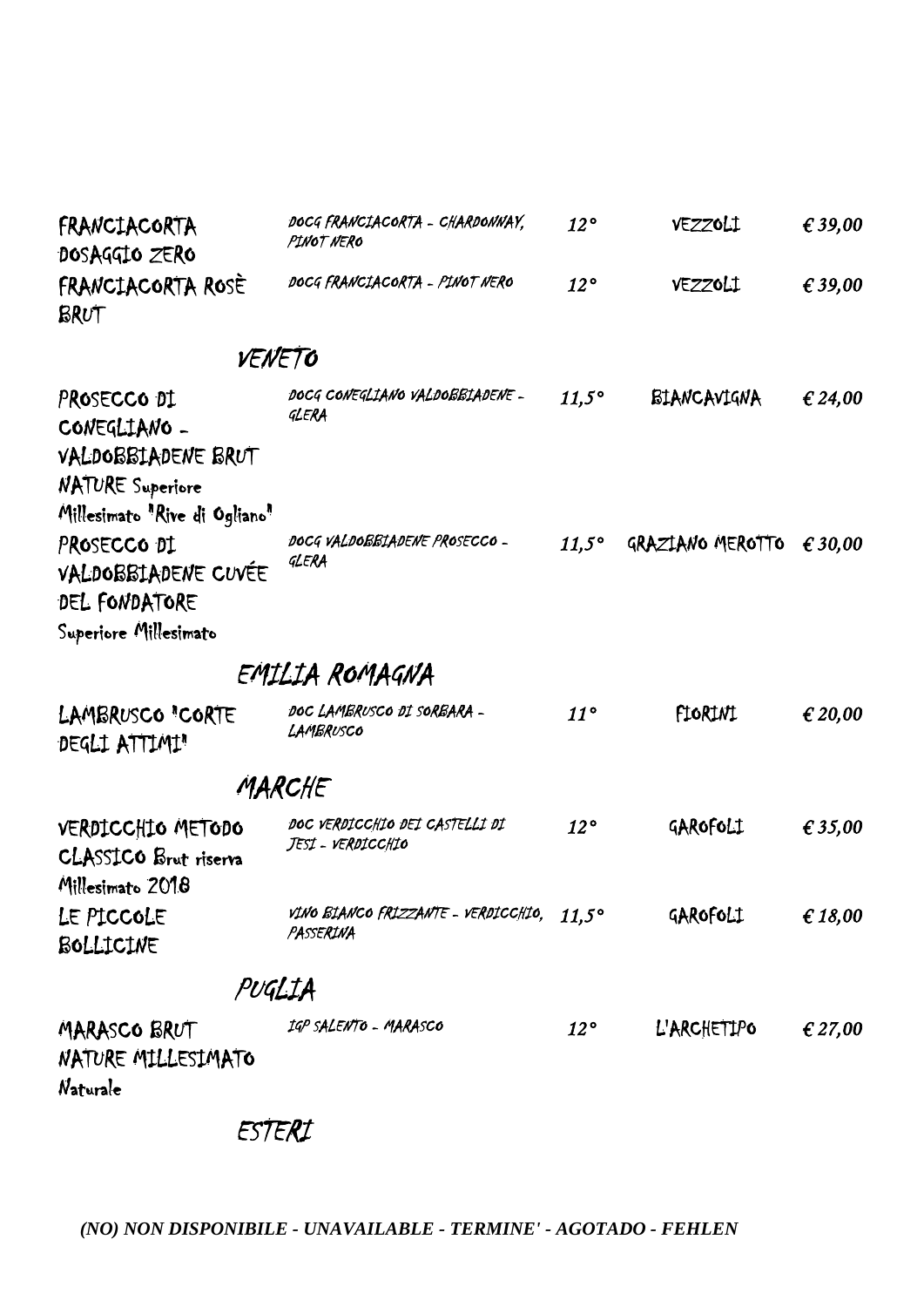| FRANCIACORTA<br>DOSAGGIO ZERO    | DOCG FRANCIACORTA - CHARDONNAY,<br>PINOT NERO | $12^{\circ}$ | VEZZOLI | € 39.00 |
|----------------------------------|-----------------------------------------------|--------------|---------|---------|
| <b>FRANCIACORTA ROSE</b><br>BRUT | DOCG FRANCIACORTA - PINOT NERO                | 12°          | VEZZOLI | € 39,00 |
|                                  | VENETO                                        |              |         |         |

#### VCNC /

| PROSECCO DI<br>CONEGLIANO -<br>VALDOBBIADENE BRUT<br><b>NATURE Superiore</b><br>Millesimato "Rive di Ogliano" | DOCG CONEGLIANO VALDOBBIADENE -<br>GLERA | $11.5^\circ$ | BIANCAVIGNA      | € 24,00          |
|---------------------------------------------------------------------------------------------------------------|------------------------------------------|--------------|------------------|------------------|
| PROSECCO DI<br>VALDOBBIADENE CUVÉE<br>DEL FONDATORE<br>Superiore Millesimato                                  | DOCG VALDOBBIADENE PROSECCO -<br>GLERA   | $11.5^\circ$ | GRAZIANO MEROTTO | $\epsilon$ 30.00 |

## EMILIA ROMAGNA

| LAMBRUSCO "CORTE<br>DEGLI ATTIMI"                                     | DOC LAMBRUSCO DI SORBARA -<br>LAMBRUSCO             | $11^{\circ}$ | FIORINI     | € 20,00 |
|-----------------------------------------------------------------------|-----------------------------------------------------|--------------|-------------|---------|
|                                                                       | MARCHE                                              |              |             |         |
| VERDICCHIO METODO<br><b>CLASSICO</b> Brut riserva<br>Millesimato 2018 | DOC VERDICCHIO DEI CASTELLI DI<br>JESI - VERDICCHIO | $12^{\circ}$ | GAROFOLI    | € 35,00 |
| LE PICCOLE<br>BOLLICINE                                               | vino Bianco frizzante - verdicchio,<br>PASSERINA    | $11.5^\circ$ | GAROFOLI    | € 18,00 |
|                                                                       | PUGLIA                                              |              |             |         |
| MARASCO BRUT                                                          | IGP SALENTO - MARASCO                               | $12^{\circ}$ | L'ARCHETIPO | € 27,00 |

NATURE MILLESIMATO Naturale

ESTERI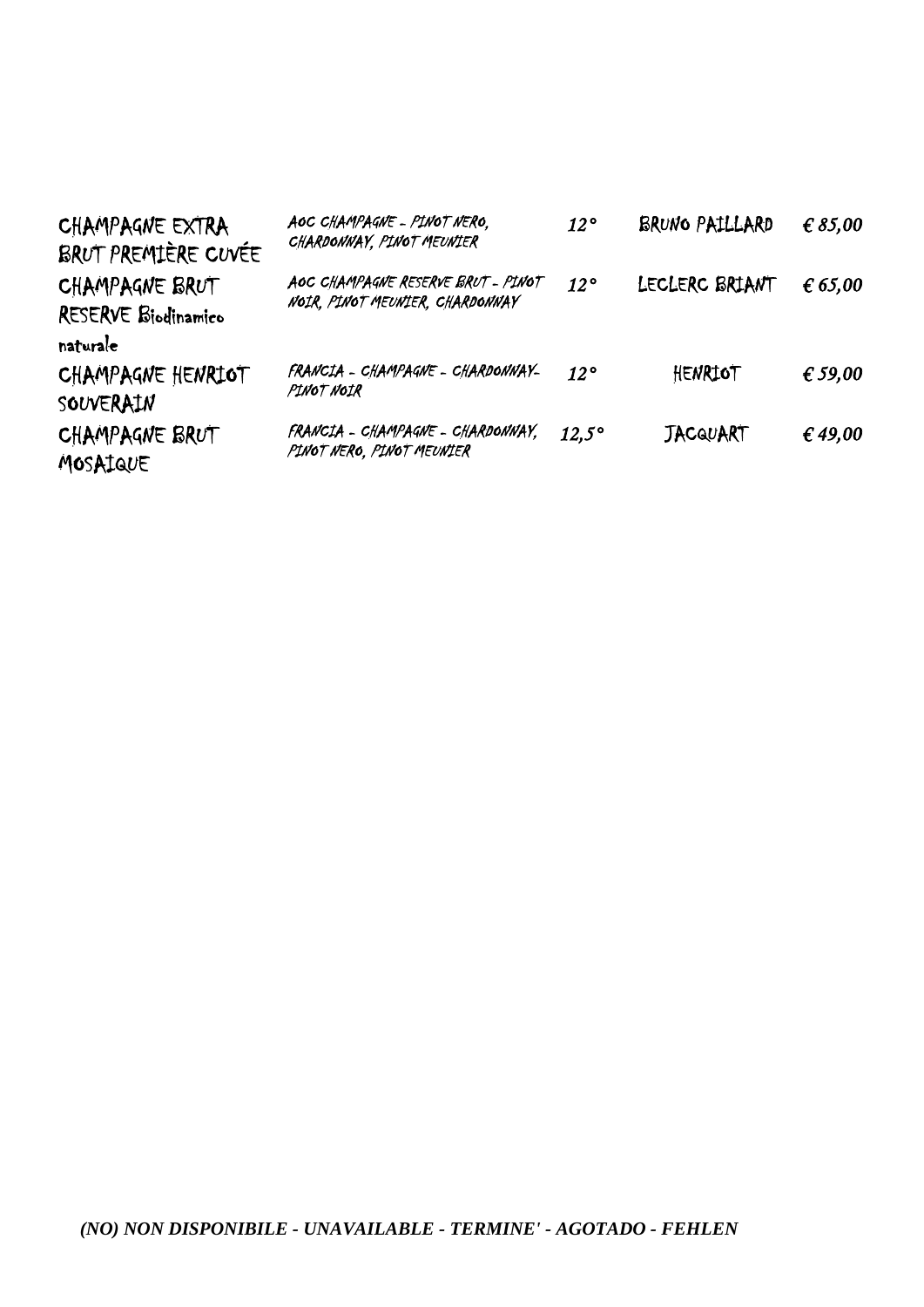| CHAMPAGNE EXTRA<br>BRUT PREMIÈRE CUVÉE            | AOC CHAMPAGNE - PINOT NERO,<br>CHARDONNAY, PINOT MEUNIER              | $12^{\circ}$ | BRUNO PAILLARD  | € 85,00 |
|---------------------------------------------------|-----------------------------------------------------------------------|--------------|-----------------|---------|
| CHAMPAGNE BRUT<br>RESERVE Biodinamico<br>naturale | AOC CHAMPAGNE RESERVE BRUT - PINOT<br>NOIR, PINOT MEUNIER, CHARDONNAY | $12^{\circ}$ | LECLERC BRIANT  | € 65,00 |
| CHAMPAGNE HENRIOT<br>SOUVERAIN                    | FRANCIA - CHAMPAGNE - CHARDONNAY-<br>PINOT NOIR                       | $12^{\circ}$ | HENRIOT         | € 59,00 |
| CHAMPAGNE BRUT<br>MOSAIQUE                        | FRANCIA - CHAMPAGNE - CHARDONNAY.<br>PINOT NERO, PINOT MEUNIER        | $12.5^\circ$ | <b>JACQUART</b> | € 49,00 |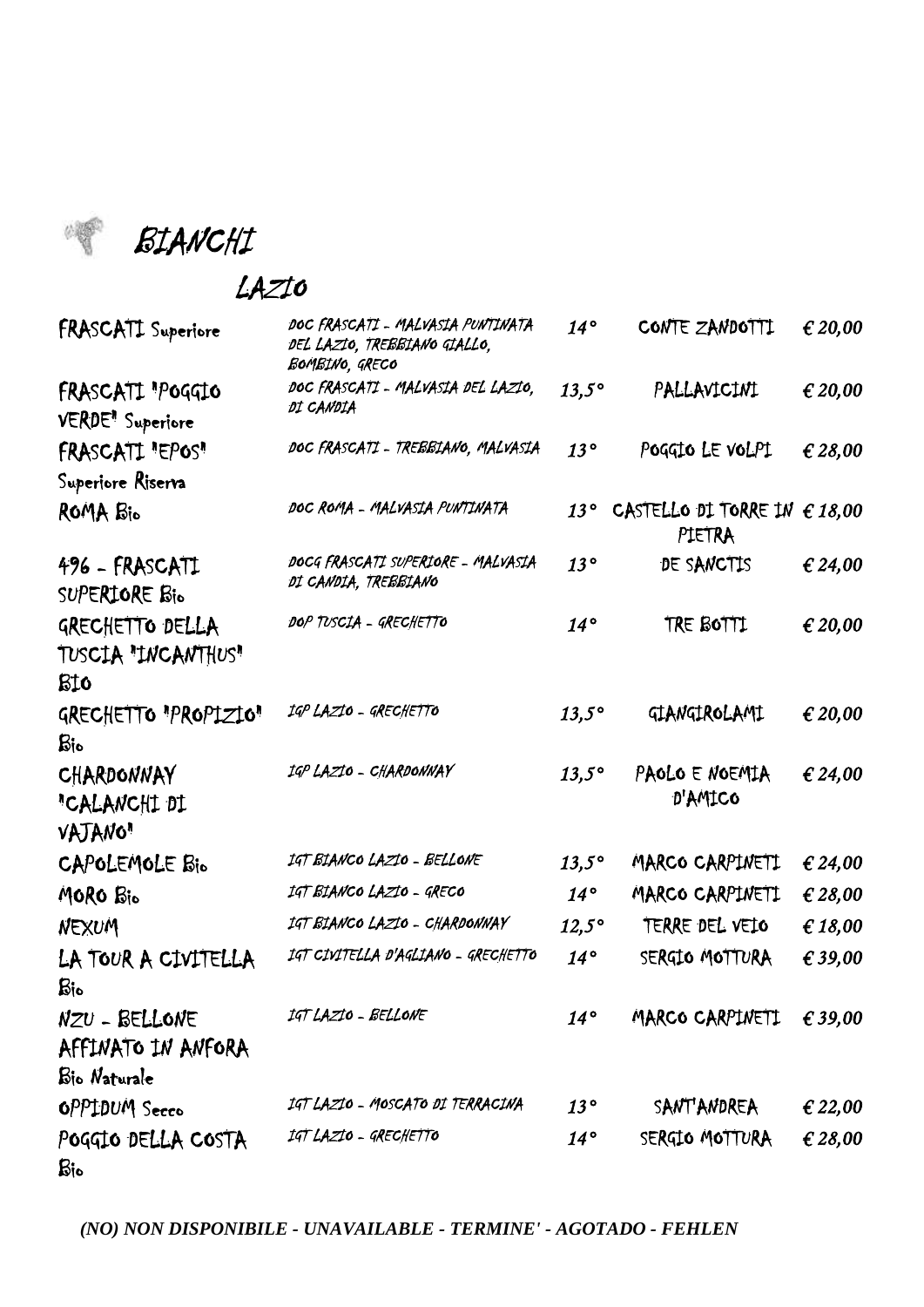BIANCHI

#### LAZIO

| <b>FRASCATI</b> Superiore                               | DOC FRASCATI - MALVASIA PUNTINATA<br>DEL LAZIO, TREBBIANO GIALLO,<br>BOMBINO, GRECO | $14^{\circ}$ | CONTE ZANDOTTI                                  | € 20,00 |
|---------------------------------------------------------|-------------------------------------------------------------------------------------|--------------|-------------------------------------------------|---------|
| FRASCATI "POGGIO<br><b>VERDE</b> <sup>1</sup> Superiore | DOC FRASCATI - MALVASIA DEL LAZIO,<br>DI CANDIA                                     | $13,5^\circ$ | PALLAVICINI                                     | € 20,00 |
| FRASCATI "EPOS"                                         | DOC FRASCATI - TREBBIANO, MALVASIA                                                  | 13°          | POGGIO LE VOLPI                                 | € 28,00 |
| Superiore Riserva                                       |                                                                                     |              |                                                 |         |
| ROMA Bio                                                | DOC ROMA - MALVASIA PUNTINATA                                                       | $13^{\circ}$ | CASTELLO DI TORRE IN $\epsilon$ 18,00<br>PIETRA |         |
| 496 - FRASCATI<br>SUPERIORE Bio                         | DOCG FRASCATI SUPERIORE - MALVASIA<br>DI CANDIA, TREBBIANO                          | 13°          | DE SANCTIS                                      | € 24,00 |
| GRECHETTO DELLA<br>TUSCIA "INCANTHUS"<br>BI0            | DOP TUSCIA - GRECHETTO                                                              | $14^{\circ}$ | TRE BOTTI                                       | € 20,00 |
| GRECHETTO "PROPIZIO"<br>$\operatorname{Ric}$            | IGP LAZIO - GRECHETTO                                                               | $13,5^\circ$ | GIANGIROLAMI                                    | € 20,00 |
| CHARDONNAY<br>"CALANCHI DI<br><b>VAJANO</b> "           | IGP LAZIO - CHARDONNAY                                                              | $13,5^\circ$ | PAOLO E NOEMIA<br>D'AMICO                       | € 24,00 |
| CAPOLEMOLE Bio                                          | IGT BIANCO LAZIO - BELLONE                                                          | $13,5^\circ$ | MARCO CARPINETI                                 | € 24,00 |
| MORO Bio                                                | IGT BIANCO LAZIO - GRECO                                                            | $14^{\circ}$ | MARCO CARPINETI                                 | € 28,00 |
| NEXUM                                                   | IGT BIANCO LAZIO - CHARDONNAY                                                       | $12,5^\circ$ | TERRE DEL VEIO                                  | € 18,00 |
| LA TOUR A CIVITELLA<br>$\mathbf{g}_{\mathbf{io}}$       | IGT CIVITELLA D'AGLIANO - GRECHETTO                                                 | $14^{\circ}$ | SERGIO MOTTURA                                  | € 39,00 |
| NZU - BELLONE<br>AFFINATO IN ANFORA<br>Bio Naturale     | IGT LAZIO - BELLONE                                                                 | $14^{\circ}$ | MARCO CARPINETI                                 | € 39,00 |
| OPPIDUM Secco                                           | IGT LAZIO - MOSCATO DI TERRACINA                                                    | $13^{\circ}$ | <b>SANT'ANDREA</b>                              | € 22,00 |
| POGGIO DELLA COSTA<br>$\mathbf{B}$ io                   | IGT LAZIO - GRECHETTO                                                               | $14^{\circ}$ | SERGIO MOTTURA                                  | € 28,00 |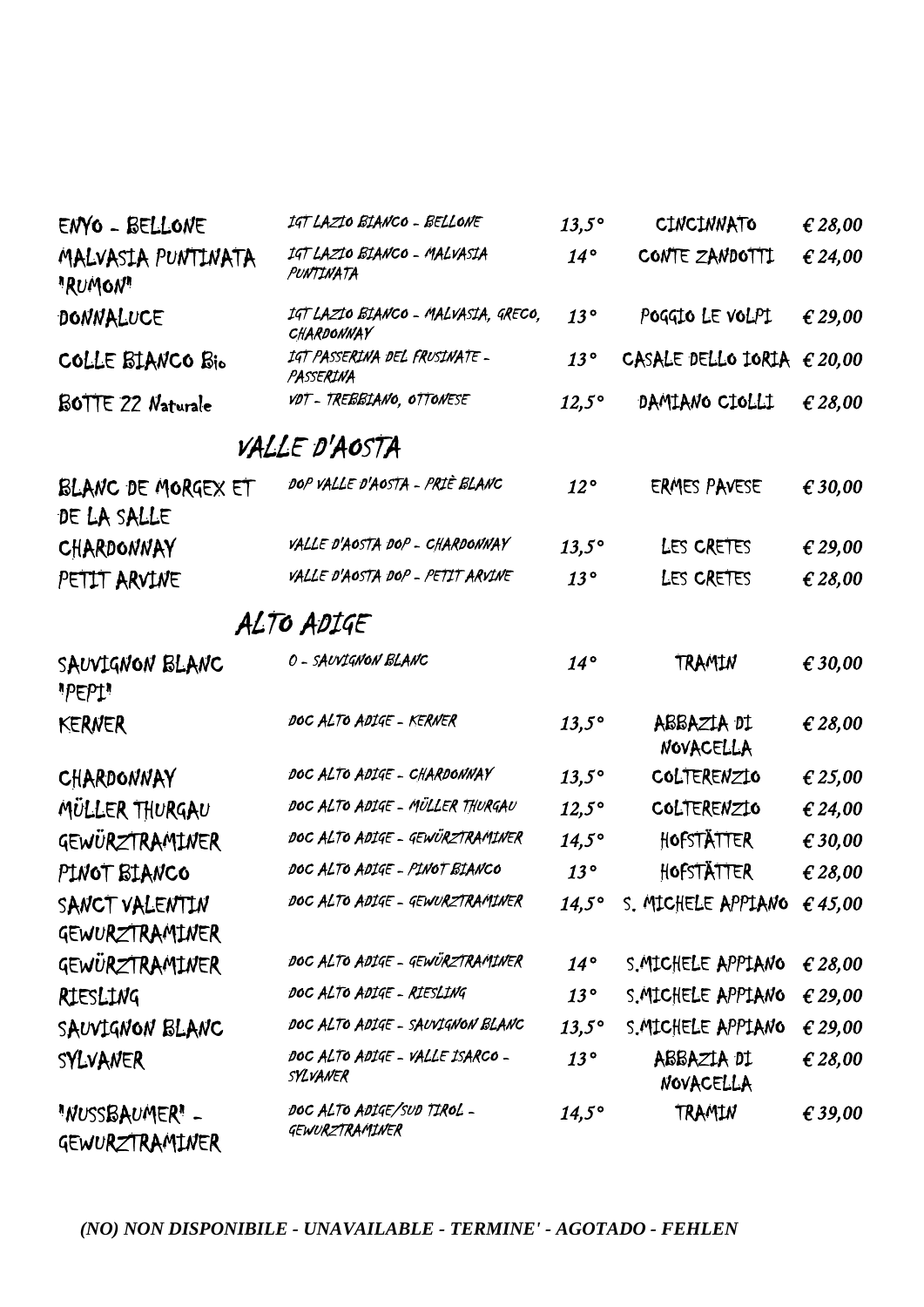| ENYO - BELLONE                    | IGT LAZIO BIANCO - BELLONE                        | $13,5^\circ$   | CINCINNATO                     | € 28,00 |
|-----------------------------------|---------------------------------------------------|----------------|--------------------------------|---------|
| MALVASIA PUNTINATA<br>"RUMON"     | IGT LAZIO BIANCO - MALVASIA<br>PUNTINATA          | $14^{\circ}$   | CONTE ZANDOTTI                 | € 24,00 |
| DONNALUCE                         | IGT LAZIO BIANCO - MALVASIA, GRECO,<br>CHARDONNAY | 13°            | POGGIO LE VOLPI                | € 29,00 |
| COLLE BIANCO Bio                  | IGT PASSERINA DEL FRUSINATE -<br>PASSERINA        | 13°            | CASALE DELLO IORIA             | € 20,00 |
| BOTTE 22 Naturale                 | VDT - TREBBIANO, OTTONESE                         | $12,5^\circ$   | DAMIANO CIOLLI                 | € 28,00 |
|                                   | VALLE D'AOSTA                                     |                |                                |         |
| BLANC DE MORGEX ET<br>DE LA SALLE | DOP VALLE D'AOSTA - PRIÈ BLANC                    | $12^{\circ}$   | <b>ERMES PAVESE</b>            | € 30,00 |
| CHARDONNAY                        | VALLE D'AOSTA DOP - CHARDONNAY                    | $13,5^\circ$   | LES CRETES                     | € 29,00 |
| PETIT ARVINE                      | VALLE D'AOSTA DOP - PETIT ARVINE                  | 13°            | LES CRETES                     | € 28,00 |
|                                   | ALTO ADIGE                                        |                |                                |         |
| SAUVIGNON BLANC<br>"PEP1"         | O - SAUVIGNON BLANC                               | $14^{\circ}$   | TRAMIN                         | € 30,00 |
| <b>KERNER</b>                     | DOC ALTO ADIGE - KERNER                           | $13,5^\circ$   | ABBAZIA DI<br><b>NOVACELLA</b> | € 28,00 |
| CHARDONNAY                        | DOC ALTO ADIGE - CHARDONNAY                       | $13,5^\circ$   | COLTERENZIO                    | € 25,00 |
| MULLER THURGAU                    | DOC ALTO ADIGE - MÜLLER THURGAU                   | $12,5^\circ$   | COLTERENZIO                    | € 24,00 |
| GEWÜRZTRAMINER                    | DOC ALTO ADIGE - GEWÜRZTRAMINER                   | $14,5^\circ$   | HOFSTÄTTER                     | € 30,00 |
| PINOT BIANCO                      | DOC ALTO ADIGE - PINOT BIANCO                     | 13°            | HOFSTÄTTER                     | € 28,00 |
| SANCT VALENTIN                    | DOC ALTO ADIGE - GEWURZTRAMINER                   | $14,5^{\circ}$ | S. MICHELE APPIANO             | £45,00  |
| GEWURZTRAMINER                    |                                                   |                |                                |         |
| GEWÜRZTRAMINER                    | DOC ALTO ADIGE - GEWÜRZTRAMINER                   | $14^{\circ}$   | S. MICHELE APPIANO             | € 28,00 |
| RIESLING                          | DOC ALTO ADIGE - RIESLING                         | 13°            | S. MICHELE APPIANO             | € 29,00 |
| SAUVIGNON BLANC                   | DOC ALTO ADIGE - SAUVIGNON BLANC                  | $13.5^\circ$   | S. MICHELE APPIANO             | € 29,00 |
| SYLVANER                          | DOC ALTO ADIGE - VALLE ISARCO -<br>SYLVANER       | 13°            | ABBAZIA DI<br>NOVACELLA        | € 28,00 |
| "NUSSBAUMER" -<br>GEWURZTRAMINER  | DOC ALTO ADIGE/SUD TIROL -<br>GEWURZTRAMINER      | $14,5^\circ$   | TRAMIN                         | € 39,00 |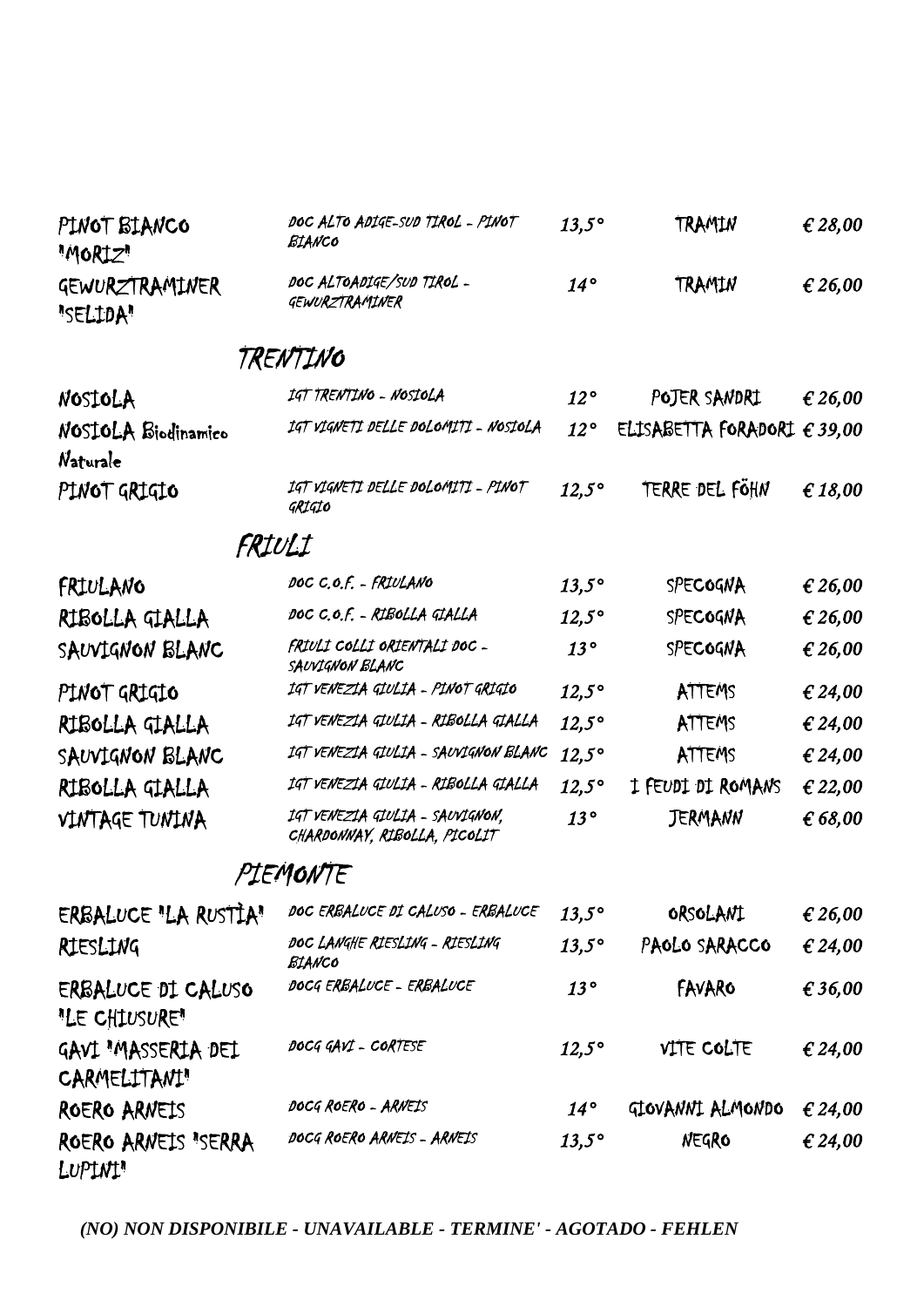| PINOT BIANCO<br>"MORIZ"             | DOC ALTO ADIGE-SUD TIROL - PINOT<br>BIANCO                      | $13,5^\circ$ | TRAMIN                               | € 28,00 |
|-------------------------------------|-----------------------------------------------------------------|--------------|--------------------------------------|---------|
| GEWURZTRAMINER<br>"SELIDA"          | DOC ALTOADIGE/SUD TIROL -<br>GEWURZTRAMINER                     | $14^{\circ}$ | TRAMIN                               | € 26,00 |
|                                     | TRENTINO                                                        |              |                                      |         |
| NOSIOLA                             | IGT TRENTINO - NOSIOLA                                          | 12°          | POJER SANDRI                         | € 26,00 |
| NOSIOLA Biodinamico<br>Naturale     | IGT VIGNETI DELLE DOLOMITI - NOSIOLA                            | $12^{\circ}$ | ELISABETTA FORADORI $\epsilon$ 39,00 |         |
| PINOT GRIGIO                        | IGT VIGNETI DELLE DOLOMITI - PINOT<br>GRIGIO                    | $12,5^\circ$ | TERRE DEL FÖHN                       | € 18,00 |
|                                     | FRIULI                                                          |              |                                      |         |
| FRIULANO                            | DOC C.O.F. - FRIULANO                                           | $13,5^\circ$ | SPECOGNA                             | € 26,00 |
| RIBOLLA GIALLA                      | DOC C.O.F. - RIBOLLA GIALLA                                     | $12,5^\circ$ | SPECOGNA                             | € 26,00 |
| SAUVIGNON BLANC                     | FRIULI COLLI ORIENTALI DOC -<br>SAUVIGNON BLANC                 | 13°          | SPECOGNA                             | € 26,00 |
| PINOT GRIGIO                        | IGT VENEZIA GIULIA - PINOT GRIGIO                               | $12,5^\circ$ | ATTEMS                               | € 24,00 |
| RIBOLLA GIALLA                      | IGT VENEZIA GIULIA - RIBOLLA GIALLA                             | $12,5^\circ$ | ATTEMS                               | € 24,00 |
| SAUVIGNON BLANC                     | IGT VENEZIA GIULIA - SAUVIGNON BLANC                            | $12,5^\circ$ | ATTEMS                               | £ 24,00 |
| RIBOLLA GIALLA                      | IGT VENEZIA GIULIA - RIBOLLA GIALLA                             | $12,5^\circ$ | I FEUDI DI ROMANS                    | € 22,00 |
| VINTAGE TUNINA                      | IGT VENEZIA GIULIA - SAUVIGNON,<br>CHARDONNAY, RIBOLLA, PICOLIT | 13°          | <b>JERMANN</b>                       | € 68,00 |
|                                     | PIEMONTE                                                        |              |                                      |         |
| ERBALUCE "LA RUSTIA"                | DOC ERBALUCE DI CALUSO - ERBALUCE                               | $13,5^\circ$ | ORSOLANI                             | € 26,00 |
| RIESLING                            | DOC LANGHE RIESLING - RIESLING<br>BIANCO                        | $13,5^\circ$ | PAOLO SARACCO                        | € 24,00 |
| ERBALUCE DI CALUSO<br>"LE CHIUSURE" | DOCG ERBALUCE - ERBALUCE                                        | 13°          | FAVARO                               | € 36,00 |
| GAVI "MASSERIA DEI<br>CARMELITANI"  | DOCG GAVI - CORTESE                                             | $12,5^\circ$ | VITE COLTE                           | € 24,00 |
| ROERO ARNEIS                        | DOCG ROERO - ARNEIS                                             | $14^{\circ}$ | GIOVANNI ALMONDO                     | € 24,00 |
| ROERO ARNEIS "SERRA<br>LUPINI"      | DOCG ROERO ARNEIS - ARNEIS                                      | $13,5^\circ$ | NEGRO                                | € 24,00 |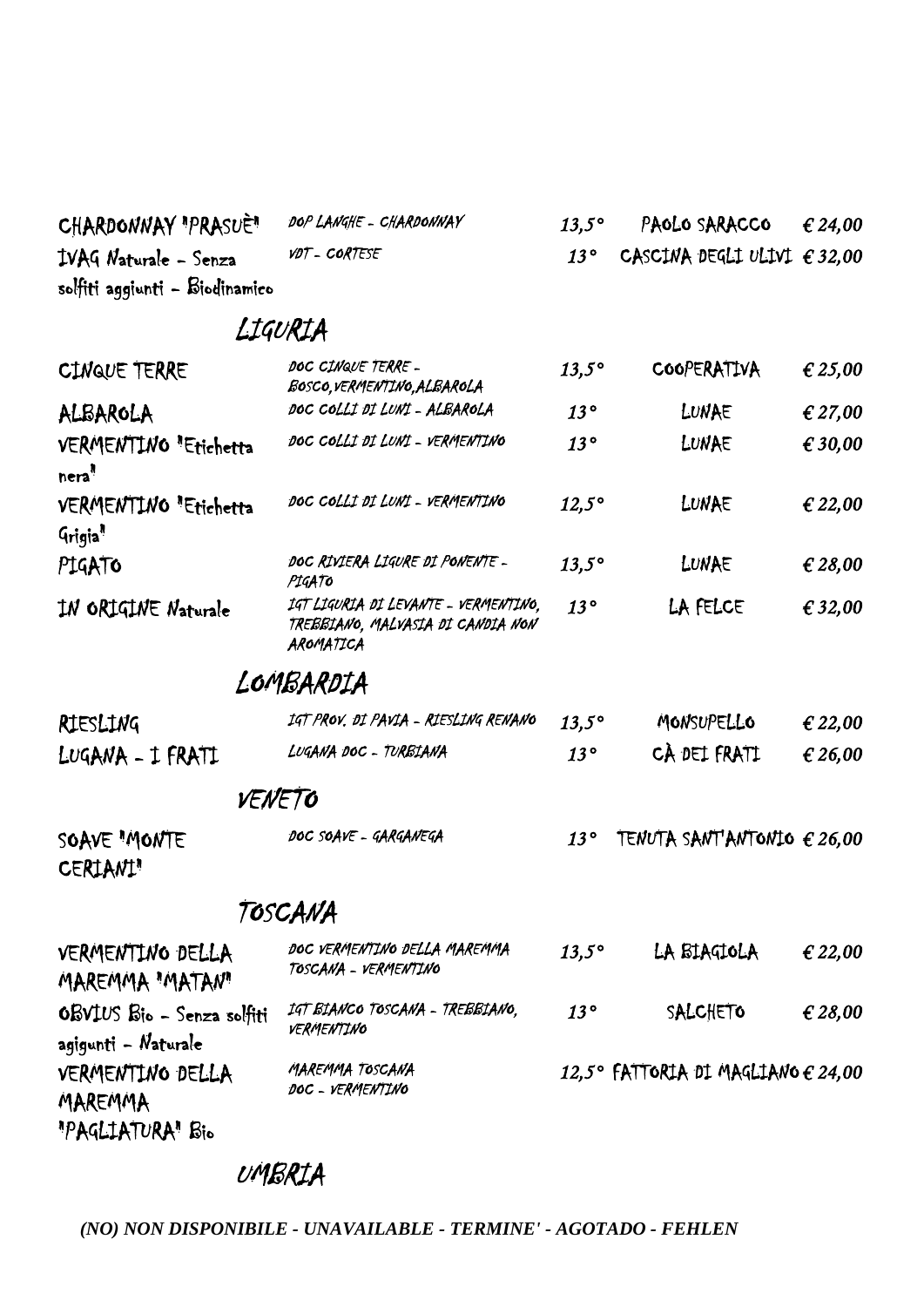| CHARDONNAY "PRASUÈ"            | DOP LANGHE - CHARDONNAY | $13.5^\circ$ | PAOLO SARACCO                            | $\epsilon$ 24.00 |
|--------------------------------|-------------------------|--------------|------------------------------------------|------------------|
| IVAG Naturale - Senza          | VDT - CORTESE           |              | 13° CASCINA DEGLI ULIVI $\epsilon$ 32,00 |                  |
| solfiti aggiunti - Biodinamico |                         |              |                                          |                  |

## LIGURIA

| CINQUE TERRE                                      | DOC CINQUE TERRE -<br>BOSCO, VERMENTINO, ALBAROLA                                      | $13,5^\circ$ | COOPERATIVA                                 | € 25,00 |
|---------------------------------------------------|----------------------------------------------------------------------------------------|--------------|---------------------------------------------|---------|
| ALBAROLA                                          | DOC COLLI DI LUNI - ALBAROLA                                                           | 13°          | LUNAE                                       | € 27,00 |
| VERMENTINO "Etichetta<br>nera <sup>"</sup>        | DOC COLLI DI LUNI - VERMENTINO                                                         | 13°          | LUNAE                                       | € 30,00 |
| VERMENTINO "Etichetta<br>Grigia <sup>n</sup>      | DOC COLLI DI LUNI - VERMENTINO                                                         | $12,5^\circ$ | LUNAE                                       | € 22,00 |
| PIGATO                                            | DOC RIVIERA LIGURE DI PONENTE -<br>PIGATO                                              | $13,5^\circ$ | LUNAE                                       | € 28,00 |
| IN ORIGINE Naturale                               | IGT LIGURIA DI LEVANTE - VERMENTINO,<br>TREBBIANO, MALVASIA DI CANDIA NON<br>AROMATICA | 13°          | LA FELCE                                    | € 32,00 |
|                                                   | LOMBARDIA                                                                              |              |                                             |         |
| RIESLING                                          | IGT PROV. DI PAVIA - RIESLING RENANO                                                   | $13,5^\circ$ | MONSUPELLO                                  | € 22,00 |
| LUGANA - I FRATI                                  | LUGANA DOC - TURBIANA                                                                  | 13°          | CÀ DEL FRATI                                | € 26,00 |
| VENETO                                            |                                                                                        |              |                                             |         |
| SOAVE "MONTE<br>CERIANI"                          | DOC SOAVE - GARGANEGA                                                                  | 13°          | TENUTA SANT'ANTONIO $\epsilon$ 26,00        |         |
|                                                   | TOSCANA                                                                                |              |                                             |         |
| VERMENTING DELLA<br><b>MAREMMA "MATAN"</b>        | DOC VERMENTINO DELLA MAREMMA<br>TOSCANA - VERMENTINO                                   | $13,5^\circ$ | LA BIAGIOLA                                 | € 22,00 |
| OBVIUS Bio - Senza solfiti<br>agigunti - Naturale | IGT BIANCO TOSCANA - TREBBIANO,<br>VERMENTINO                                          | 13°          | SALCHETO                                    | € 28,00 |
| VERMENTING DELLA<br>MAREMMA                       | MAREMMA TOSCANA<br>DOC - VERMENTINO                                                    |              | 12,5° FATTORIA DI MAGLIANO $\epsilon$ 24,00 |         |

## UMBRIA

"PAGLIATURA" Bio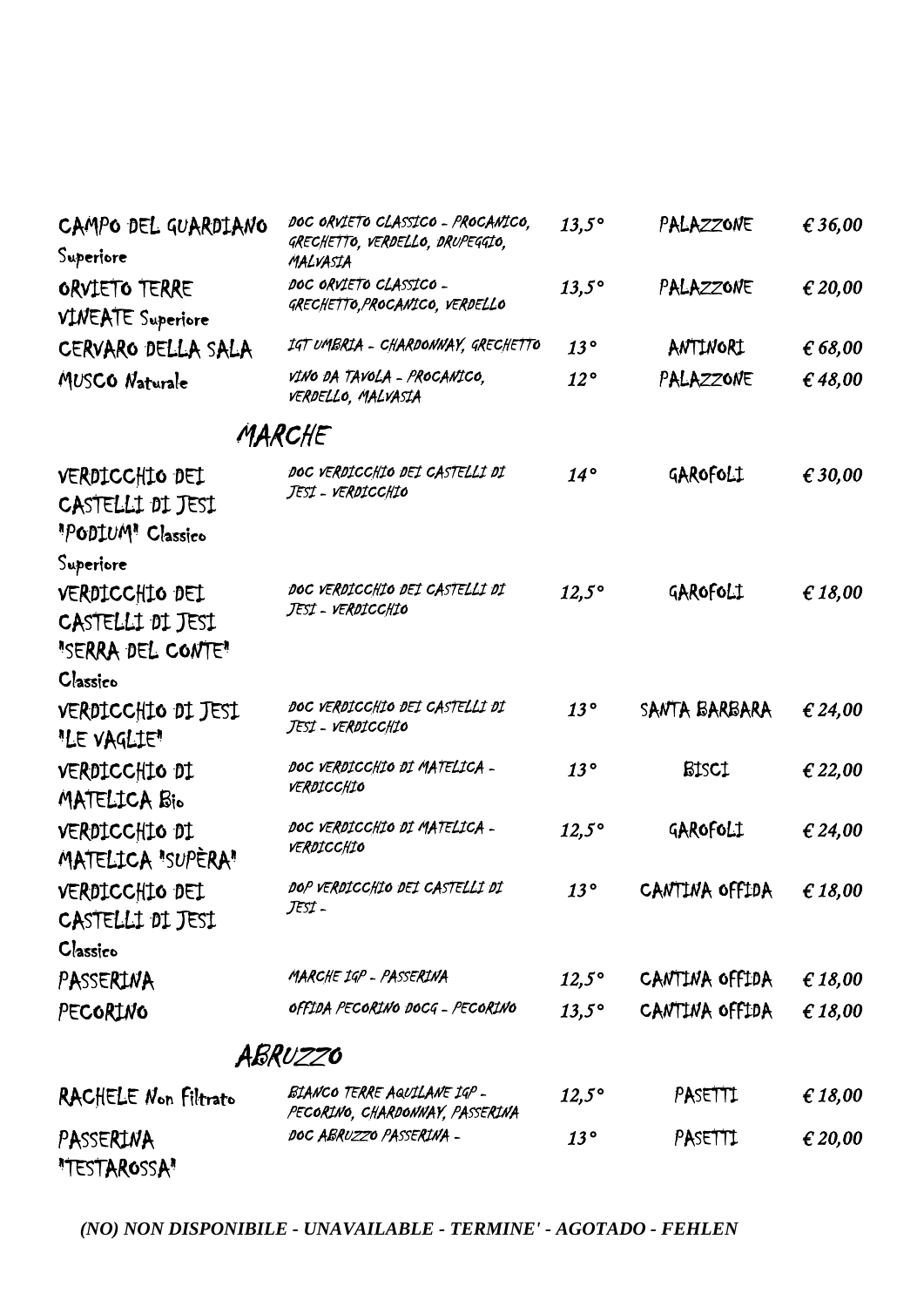| CAMPO DEL GUARDIANO<br>Superiore                                                 | DOC ORVIETO CLASSICO - PROCANICO,<br>GRECHETTO, VERDELLO, DRUPEGGIO,<br>MALVASIA | $13,5^\circ$ | PALAZZONE      | € 36,00 |
|----------------------------------------------------------------------------------|----------------------------------------------------------------------------------|--------------|----------------|---------|
| ORVIETO TERRE<br><b>VINEATE</b> Superiore                                        | DOC ORVIETO CLASSICO -<br>GRECHETTO, PROCANICO, VERDELLO                         | $13,5^\circ$ | PALAZZONE      | € 20,00 |
| CERVARO DELLA SALA                                                               | IGT UMBRIA - CHARDONNAY, GRECHETTO                                               | 13°          | ANTINORI       | 66,00   |
| MUSCO Naturale                                                                   | VINO DA TAVOLA - PROCANICO,<br>VERDELLO, MALVASIA                                | $12^{\circ}$ | PALAZZONE      | € 48,00 |
|                                                                                  | MARCHE                                                                           |              |                |         |
| VERDICCHIO DEI<br>CASTELLI DI JESI<br>"PODIUM" Classico                          | DOC VERDICCHIO DEI CASTELLI DI<br>Jest - verdicchio                              | $14^{\circ}$ | GAROFOLI       | € 30,00 |
| Superiore<br>VERDICCHIO DEI<br>CASTELLI DI JESI<br>"SERRA DEL CONTE"<br>Classico | DOC VERDICCHIO DEI CASTELLI DI<br>Jest - verdicchio                              | $12,5^\circ$ | GAROFOLI       | € 18,00 |
| VERDICCHIO DI JESI<br>"LE VAGLIE"                                                | DOC VERDICCHIO DEI CASTELLI DI<br>Jest - verdicchio                              | 13°          | SANTA BARBARA  | € 24,00 |
| VERDICCHIO DI<br>MATELICA Bio                                                    | DOC VERDICCHIO DI MATELICA -<br>VERDICCHIO                                       | 13°          | <b>BISCI</b>   | € 22,00 |
| VERDICCHIO DI<br>MATELICA "SUPERA"                                               | DOC VERDICCHIO DI MATELICA -<br>VERDICCHIO                                       | $12,5^\circ$ | GAROFOLI       | € 24,00 |
| VERDICCHIO DEI<br>CASTELLI DI JESI<br>Classico                                   | DOP VERDICCHIO DEI CASTELLI DI<br>JESI -                                         | 13°          | CANTINA OFFIDA | € 18,00 |
| PASSERINA                                                                        | MARCHE IGP - PASSERINA                                                           | $12,5^\circ$ | CANTINA OFFIDA | € 18,00 |
| PECORINO                                                                         | OFFIDA PECORINO DOCG - PECORINO                                                  | $13,5^\circ$ | CANTINA OFFIDA | € 18,00 |
|                                                                                  | ABRUZZO                                                                          |              |                |         |
| RACHELE Non Filtrato                                                             | BIANCO TERRE AQUILANE IGP -<br>PECORINO, CHARDONNAY, PASSERINA                   | $12,5^\circ$ | PASETTI        | € 18,00 |
| PASSERINA<br>"TESTAROSSA"                                                        | DOC ABRUZZO PASSERINA -                                                          | 13°          | PASETTI        | € 20,00 |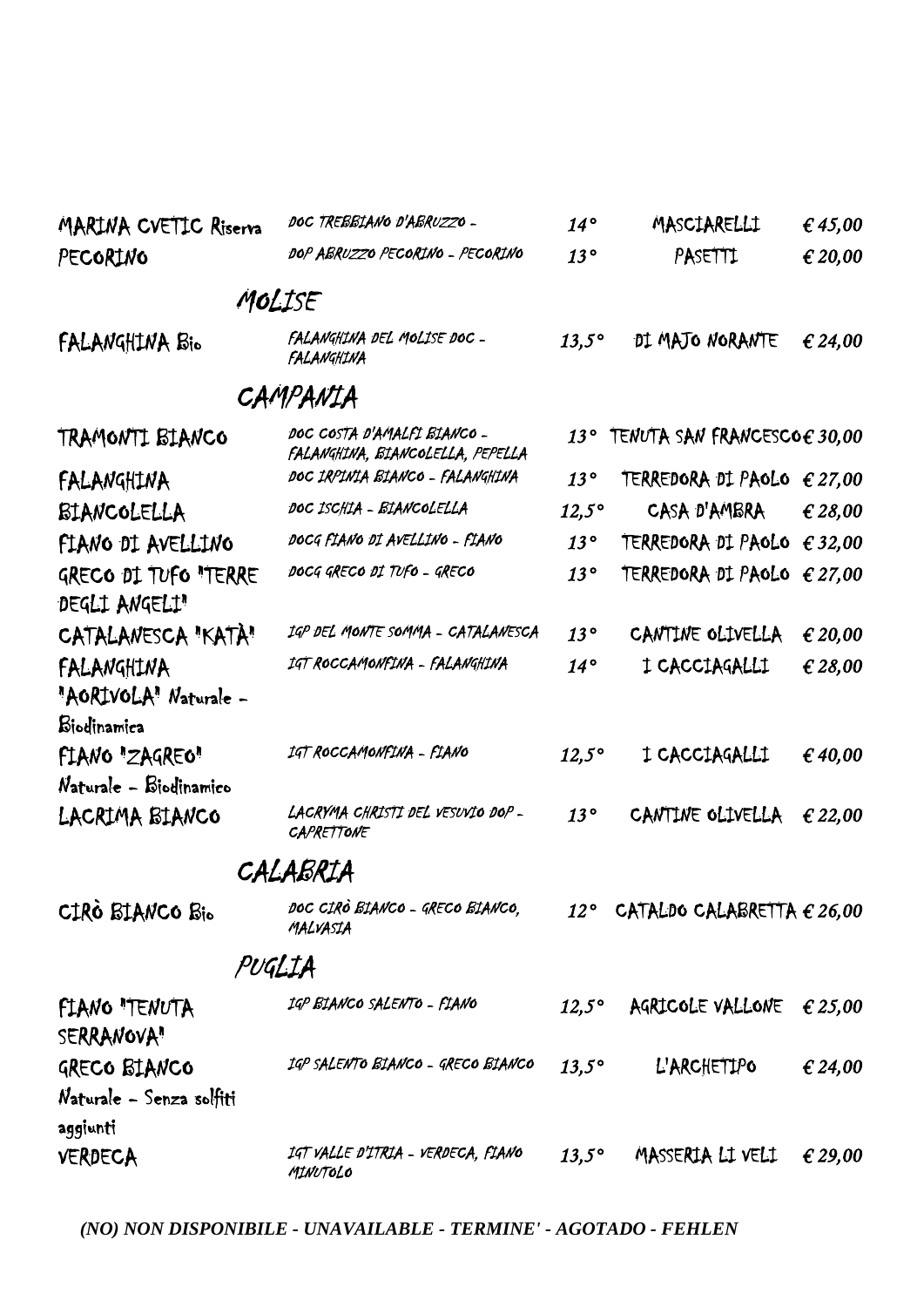| MARINA CVETIC Riserva                    | DOC TREBBIANO D'ABRUZZO -                                       | $14^{\circ}$   | MASCIARELLI                                        | € 45,00 |
|------------------------------------------|-----------------------------------------------------------------|----------------|----------------------------------------------------|---------|
| PECORINO                                 | DOP ABRUZZO PECORINO - PECORINO                                 | 13°            | PASETTI                                            | € 20,00 |
|                                          | MOLISE                                                          |                |                                                    |         |
| FALANGHINA Bio                           | FALANGHINA DEL MOLISE DOC -<br>FALANGHINA                       | $13,5^\circ$   | DI MAJO NORANTE                                    | € 24,00 |
|                                          | CAMPANIA                                                        |                |                                                    |         |
| TRAMONTI BIANCO                          | DOC COSTA D'AMALFI BIANCO -<br>FALANGHINA, BIANCOLELLA, PEPELLA | $13^{\circ}$   | TENUTA SAN FRANCESCO $\boldsymbol{\epsilon}$ 30,00 |         |
| FALANGHINA                               | DOC IRPINIA BIANCO - FALANGHINA                                 | 13°            | TERREDORA DI PAOLO $\epsilon$ 27,00                |         |
| BIANCOLELLA                              | DOC ISCHIA - BIANCOLELLA                                        | $12.5^\circ$   | CASA D'AMBRA                                       | € 28,00 |
| FIANO DI AVELLINO                        | DOCG FIANO DI AVELLINO - FIANO                                  | 13°            | TERREDORA DI PAOLO $\epsilon$ 32,00                |         |
| GRECO DI TUFO "TERRE<br>DEGLI ANGELI"    | DOCG GRECO DI TUFO - GRECO                                      | 13°            | TERREDORA DI PAOLO $\epsilon$ 27,00                |         |
| CATALANESCA "KATÀ"                       | IGP DEL MONTE SOMMA - CATALANESCA                               | 13°            | CANTINE OLIVELLA                                   | € 20,00 |
| FALANGHINA<br>"AORIVOLA" Naturale -      | IGT ROCCAMONFINA - FALANGHINA                                   | $14^{\circ}$   | I CACCIAGALLI                                      | € 28,00 |
| Biodinamica                              |                                                                 |                |                                                    |         |
| FIANO "ZAGREO"<br>Naturale - Biodinamico | IGT ROCCAMONFINA - FIANO                                        | $12,5^\circ$   | I CACCIAGALLI                                      | € 40,00 |
| LACRIMA BIANCO                           | LACRYMA CHRISTI DEL VESUVIO DOP-<br><b>CAPRETTONE</b>           | 13°            | CANTINE OLIVELLA                                   | € 22,00 |
|                                          | CALABRIA                                                        |                |                                                    |         |
| CIRÒ BIANCO Bio                          | DOC CIRÒ BIANCO - GRECO BIANCO,<br>MALVASIA                     |                | 12° CATALDO CALABRETTA $\epsilon$ 26,00            |         |
| PUGLIA                                   |                                                                 |                |                                                    |         |
| FIANO "TENUTA<br>SERRANOVA"              | 1GP BIANCO SALENTO - FIANO                                      | $12,5^{\circ}$ | AGRICOLE VALLONE                                   | € 25,00 |
| GRECO BIANCO                             | 1GP SALENTO BIANCO - GRECO BIANCO                               | $13,5^\circ$   | L'ARCHETIPO                                        | € 24,00 |
| Naturale - Senza solfiti                 |                                                                 |                |                                                    |         |
| aggiunti                                 |                                                                 |                |                                                    |         |
| <b>VERDECA</b>                           | IGT VALLE D'ITRIA - VERDECA, FIANO<br>MINUTOLO                  | $13,5^{\circ}$ | MASSERIA LI VELI                                   | € 29,00 |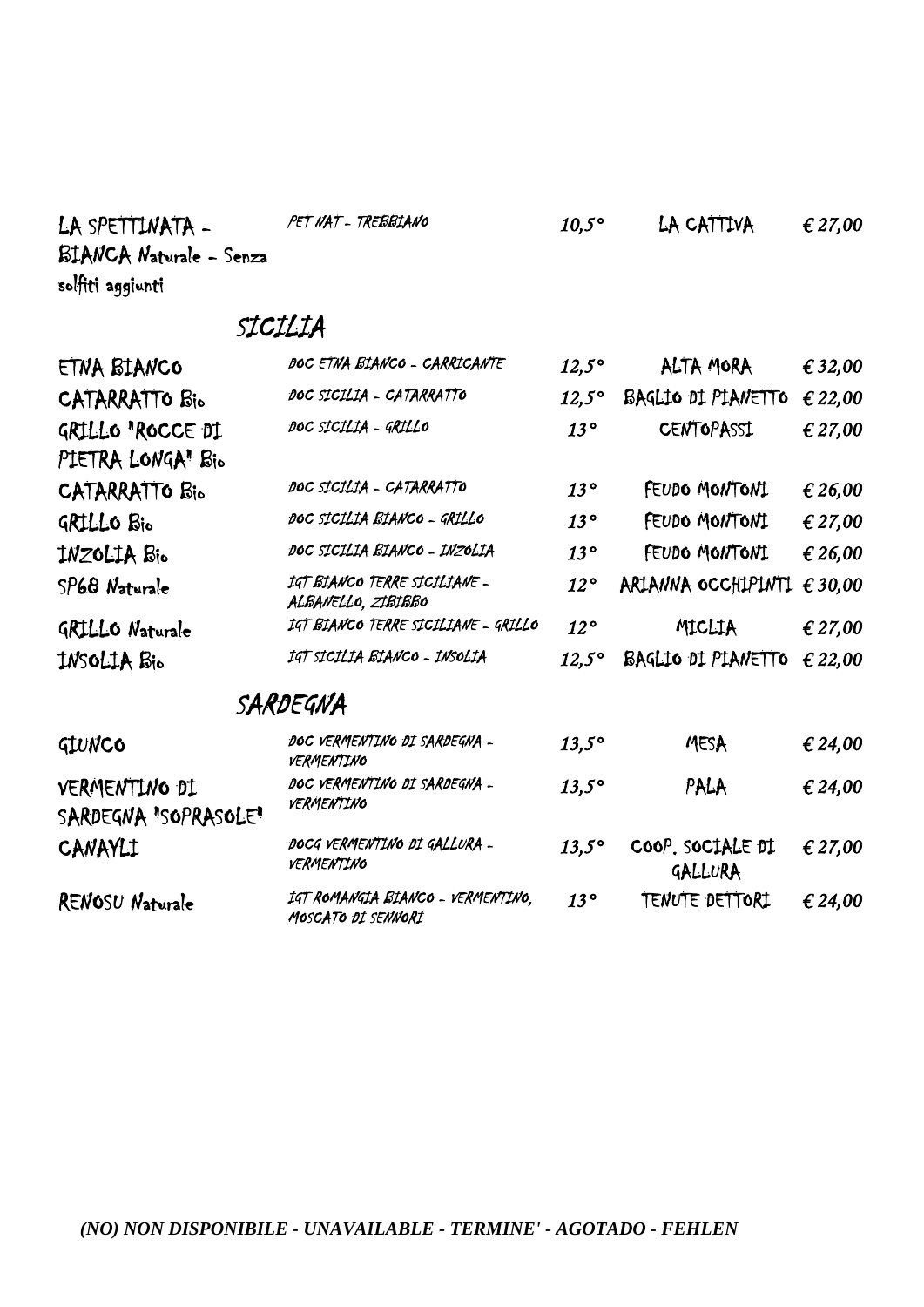| LA SPETTINATA -                       | PET NAT - TREBBIANO                                     | $10,5^\circ$ | LA CATTIVA                  | € 27,00 |
|---------------------------------------|---------------------------------------------------------|--------------|-----------------------------|---------|
| <b>BIANCA Naturale - Senza</b>        |                                                         |              |                             |         |
| solfiti aggiunti                      |                                                         |              |                             |         |
|                                       | SICILIA                                                 |              |                             |         |
| ETNA BIANCO                           | DOC ETNA BIANCO - CARRICANTE                            | $12,5^\circ$ | ALTA MORA                   | € 32,00 |
| CATARRATTO Bio                        | DOC SICILIA - CATARRATTO                                | $12,5^\circ$ | BAGLIO DI PIANETTO          | € 22,00 |
| GRILLO 'ROCCE DI                      | DOC SICILIA - GRILLO                                    | 13°          | <b>CENTOPASSI</b>           | € 27,00 |
| PIETRA LONGA" Bio                     |                                                         |              |                             |         |
| CATARRATTO Bio                        | DOC SICILIA - CATARRATTO                                | 13°          | FEUDO MONTONI               | € 26,00 |
| GRILLO Bio                            | DOC SICILIA BIANCO - GRILLO                             | 13°          | FEUDO MONTONI               | € 27,00 |
| INZOLIA Bio                           | DOC SICILIA BIANCO - INZOLIA                            | 13°          | FEUDO MONTONI               | € 26,00 |
| SP68 Naturale                         | IGT BIANCO TERRE SICILIANE -<br>ALBANELLO, ZIBIBBO      | $12^{\circ}$ | ARIANNA OCCHIPINTI          | € 30,00 |
| GRILLO Naturale                       | IGT BIANCO TERRE SICILIANE - GRILLO                     | $12^{\circ}$ | MICLIA                      | € 27,00 |
| INSOLIA Bio                           | IGT SICILIA BIANCO - INSOLIA                            | $12.5^\circ$ | BAGLIO DI PIANETTO          | € 22,00 |
|                                       | SARDEGNA                                                |              |                             |         |
| GIUNCO                                | DOC VERMENTINO DI SARDEGNA -<br>VERMENTINO              | $13,5^\circ$ | MESA                        | € 24,00 |
| VERMENTING DI<br>SARDEGNA "SOPRASOLE" | DOC VERMENTINO DI SARDEGNA -<br>VERMENTINO              | $13,5^\circ$ | PALA                        | € 24,00 |
| CANAYLI                               | DOCG VERMENTINO DI GALLURA -<br>VERMENTINO              | $13.5^\circ$ | COOP. SOCIALE DI<br>GALLURA | € 27,00 |
| RENOSU Naturale                       | IGT ROMANGIA BIANCO - VERMENTINO,<br>MOSCATO DI SENNORI | $13^{\circ}$ | TENUTE DETTORI              | € 24,00 |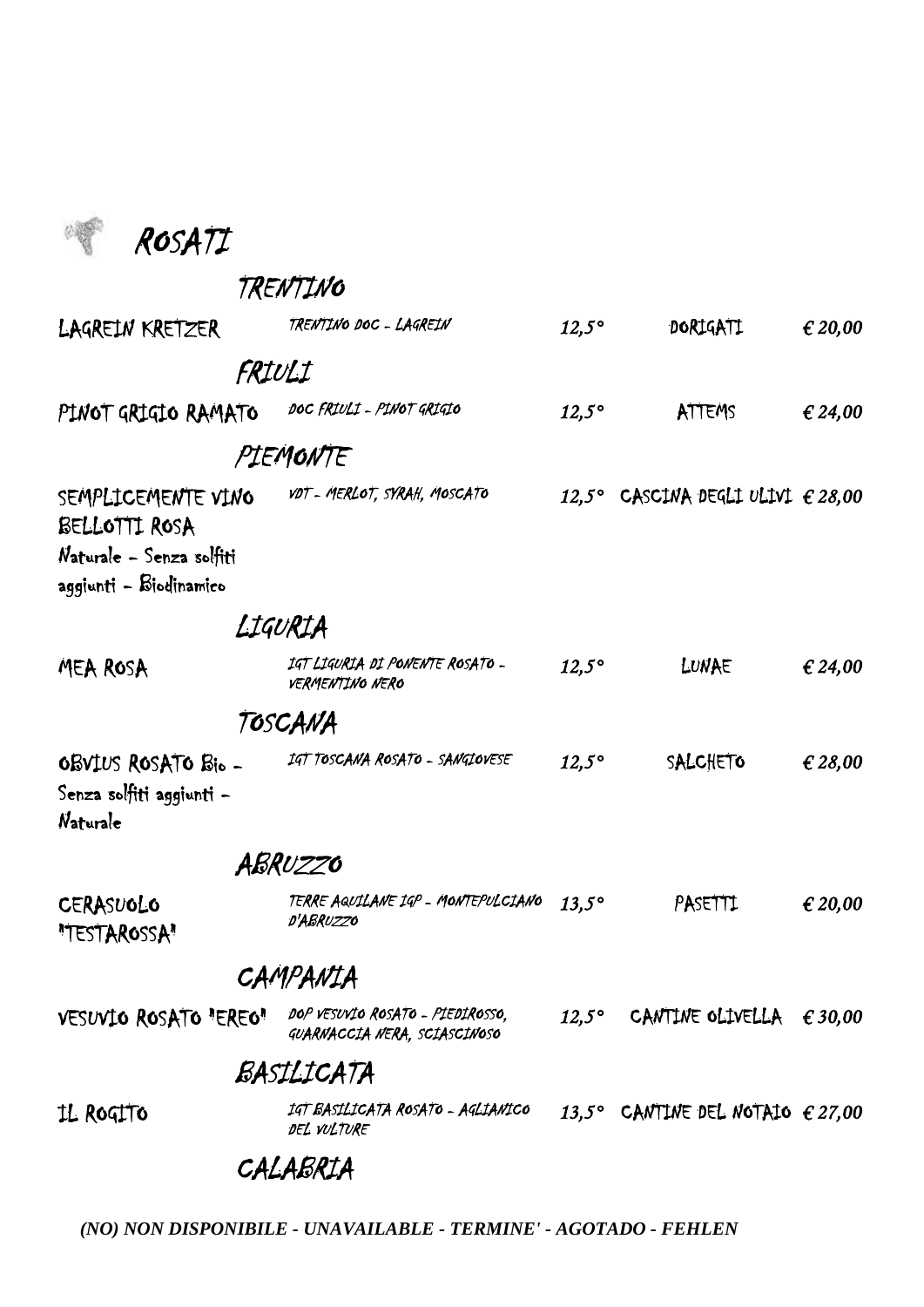

TRENTINO

| LAGREIN KRETZER                                                                           |         | TRENTINO DOC - LAGREIN                                           | $12,5^\circ$ | DORIGATI                                   | € 20,00 |
|-------------------------------------------------------------------------------------------|---------|------------------------------------------------------------------|--------------|--------------------------------------------|---------|
|                                                                                           | FRIULI  |                                                                  |              |                                            |         |
| PINOT GRIGIO RAMATO                                                                       |         | DOC FRIULI - PINOT GRIGIO                                        | $12,5^\circ$ | ATTEMS                                     | € 24,00 |
|                                                                                           |         | PIEMONTE                                                         |              |                                            |         |
| SEMPLICEMENTE VINO<br>BELLOTTI ROSA<br>Naturale - Senza solfiti<br>aggiunti - Biodinamico |         | VDT - MERLOT, SYRAH, MOSCATO                                     |              | 12,5° CASCINA DEGLI ULIVI $\epsilon$ 28,00 |         |
|                                                                                           | LIGURIA |                                                                  |              |                                            |         |
| MEA ROSA                                                                                  |         | IGT LIGURIA DI PONENTE ROSATO -<br><b>VERMENTINO NERO</b>        | $12.5^\circ$ | LUNAE                                      | € 24,00 |
|                                                                                           |         | TOSCANA                                                          |              |                                            |         |
| OBVIUS ROSATO Bio -<br>Senza solfiti aggiunti -<br>Naturale                               |         | IGT TOSCANA ROSATO - SANGIOVESE                                  | $12,5^\circ$ | SALCHETO                                   | € 28,00 |
|                                                                                           |         | ABRUZZO                                                          |              |                                            |         |
| CERASUOLO<br>"TESTAROSSA"                                                                 |         | TERRE AQUILANE IGP - MONTEPULCIANO<br>D'ABRUZZO                  | $13.5^\circ$ | PASETTI                                    | € 20,00 |
|                                                                                           |         | CAMPANIA                                                         |              |                                            |         |
| VESUVIO ROSATO "EREO"                                                                     |         | DOP VESUVIO ROSATO - PIEDIROSSO,<br>GUARNACCIA NERA, SCIASCINOSO |              | 12,5° CANTINE OLIVELLA $\epsilon$ 30,00    |         |
|                                                                                           |         | BASILICATA                                                       |              |                                            |         |
| IL ROGITO                                                                                 |         | IGT BASILICATA ROSATO - AGLIANICO<br>DEL VULTURE                 |              | 13,5° CANTINE DEL NOTAIO $\epsilon$ 27,00  |         |
|                                                                                           |         | CALABRIA                                                         |              |                                            |         |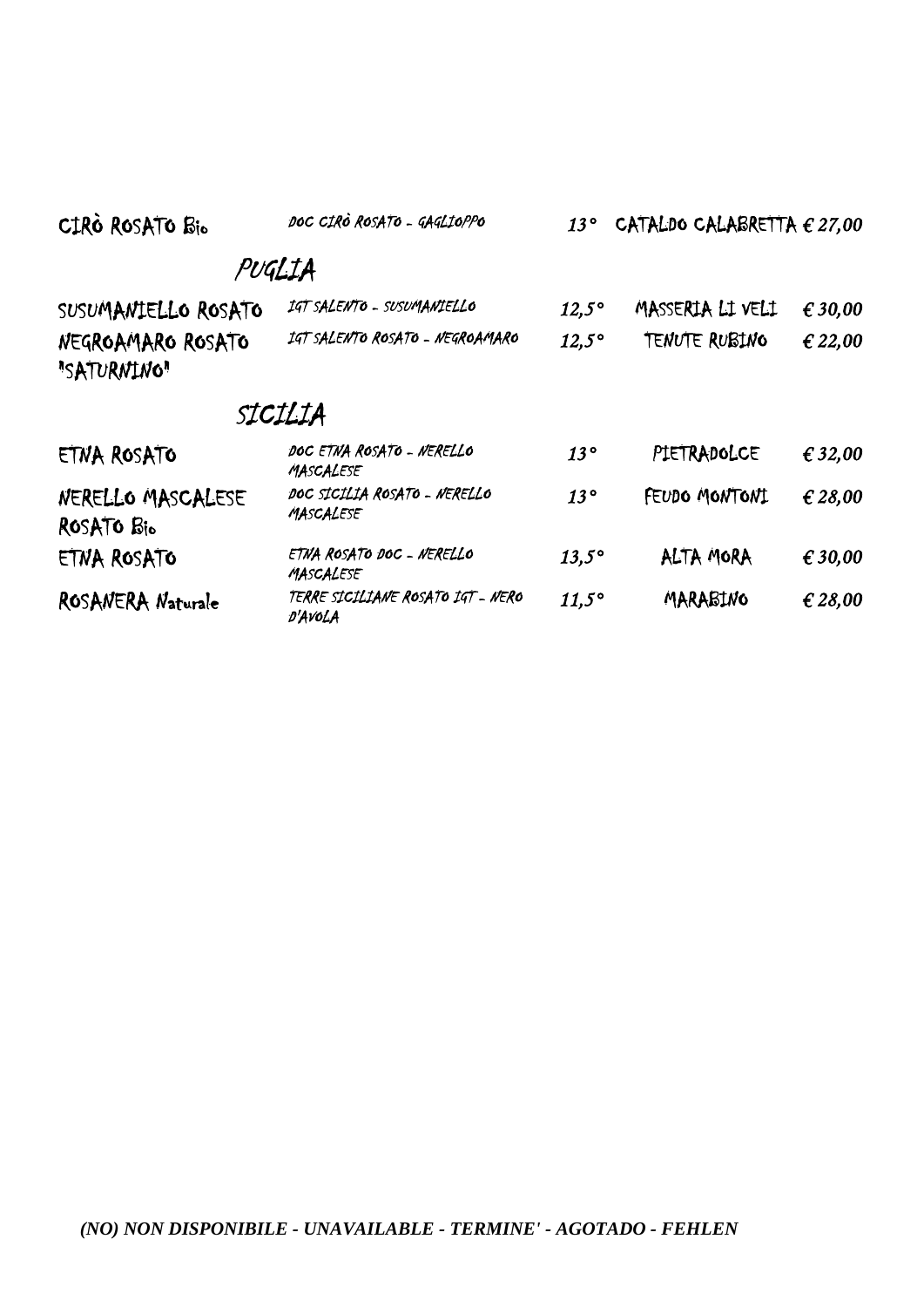| CIRO ROSATO Bio                  | DOC CIRÒ ROSATO - GAGLIOPPO                  | 13°          | CATALDO CALABRETTA $\epsilon$ 27,00 |         |
|----------------------------------|----------------------------------------------|--------------|-------------------------------------|---------|
|                                  | PUGLIA                                       |              |                                     |         |
| SUSUMANIELLO ROSATO              | IGT SALENTO - SUSUMANIELLO                   | $12,5^\circ$ | MASSERIA LI VELI                    | € 30,00 |
| NEGROAMARO ROSATO<br>"SATURNING" | IGT SALENTO ROSATO - NEGROAMARO              | $12,5^\circ$ | <b>TENUTE RUBING</b>                | € 22,00 |
|                                  | SICILIA                                      |              |                                     |         |
| ETNA ROSATO                      | DOC ETNA ROSATO - NERELLO<br>MASCALESE       | 13°          | PIETRADOLCE                         | € 32,00 |
| NERELLO MASCALESE<br>ROSATO Bio  | DOC SICILIA ROSATO - NERELLO<br>MASCALESE    | 13°          | FEUDO MONTONI                       | € 28,00 |
| ETNA ROSATO                      | ETNA ROSATO DOC - NERELLO<br>MASCALESE       | $13.5^\circ$ | ALTA MORA                           | € 30,00 |
| ROSANERA Naturale                | TERRE SICILIANE ROSATO IGT - NERO<br>D'AVOLA | $11,5^\circ$ | MARABINO                            | € 28,00 |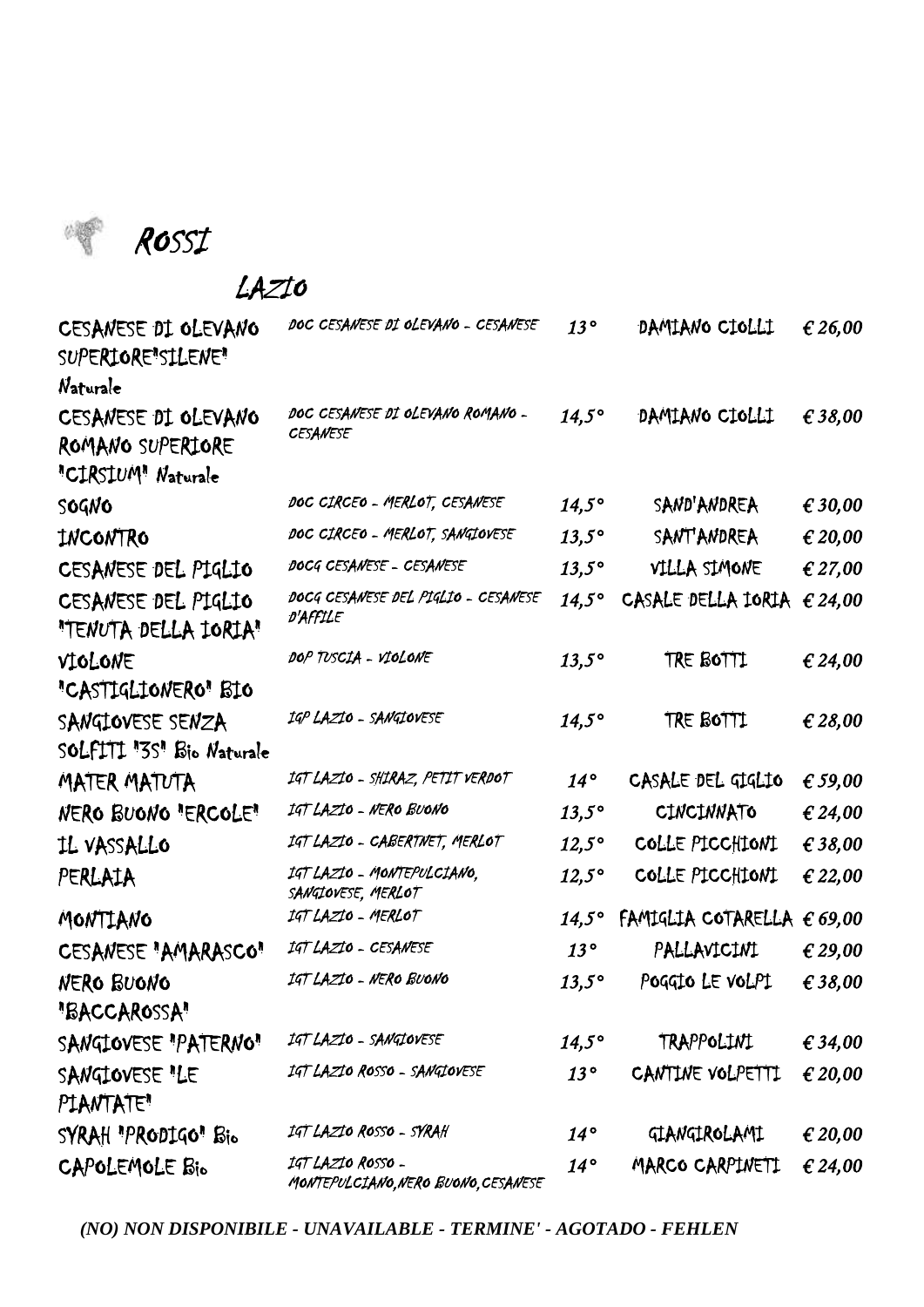

ROSSI

#### LAZIO

| CESANESE DI OLEVANO<br>SUPERIORE"SILENE"<br>Naturale          | DOC CESANESE DI OLEVANO - CESANESE                       | $13^{\circ}$   | DAMIANO CIOLLI     | € 26,00          |
|---------------------------------------------------------------|----------------------------------------------------------|----------------|--------------------|------------------|
| CESANESE DI OLEVANO<br>ROMANO SUPERIORE<br>"CIRSIUM" Naturale | DOC CESANESE DI OLEVANO ROMANO -<br><b>CESANESE</b>      | $14,5^\circ$   | DAMIANO CIOLLI     | € 38,00          |
| SOGNO                                                         | DOC CIRCEO - MERLOT, CESANESE                            | $14,5^\circ$   | SAND'ANDREA        | € 30,00          |
| INCONTRO                                                      | DOC CIRCEO - MERLOT, SANGIOVESE                          | $13,5^\circ$   | <b>SANT'ANDREA</b> | € 20,00          |
| CESANESE DEL PIGLIO                                           | DOCG CESANESE - CESANESE                                 | $13,5^\circ$   | VILLA SIMONE       | € 27,00          |
| CESANESE DEL PIGLIO<br>"TENUTA DELLA IORIA"                   | DOCG CESANESE DEL PIGLIO - CESANESE<br>D'AFFILE          | $14,5^\circ$   | CASALE DELLA IORIA | € 24,00          |
| VIOLONE<br>"CASTIGLIONERO" BIO                                | DOP TUSCIA - VIOLONE                                     | $13,5^\circ$   | TRE BOTTI          | € 24,00          |
| SANGIOVESE SENZA<br>SOLFITI "3S" Bio Naturale                 | IGP LAZIO - SANGIOVESE                                   | $14,5^\circ$   | TRE BOTTI          | € 28,00          |
| MATER MATUTA                                                  | 14T LAZIO - SHIRAZ, PETIT VERDOT                         | $14^{\circ}$   | CASALE DEL GIGLIO  | € 59,00          |
| NERO BUONO "ERCOLE"                                           | IGT LAZIO - NERO BUONO                                   | $13,5^\circ$   | <b>CINCINNATO</b>  | € 24,00          |
| IL VASSALLO                                                   | IGT LAZIO - CABERTNET, MERLOT                            | $12,5^\circ$   | COLLE PICCHIONI    | € 38,00          |
| PERLAIA                                                       | IGT LAZIO - MONTEPULCIANO,<br>SANGIOVESE, MERLOT         | $12,5^\circ$   | COLLE PICCHIONI    | € 22,00          |
| MONTIANO                                                      | IGT LAZIO - MERLOT                                       | $14,5^{\circ}$ | FAMIGLIA COTARELLA | $\epsilon$ 69,00 |
| CESANESE "AMARASCO"                                           | IGT LAZIO - CESANESE                                     | $13^{\circ}$   | PALLAVICINI        | € 29,00          |
| <b>NERO BUONO</b><br>"BACCAROSSA"                             | IGT LAZIO - NERO BUONO                                   | $13,5^\circ$   | POGGIO LE VOLPI    | € 38,00          |
| SANGIOVESE "PATERNO"                                          | IGT LAZIO - SANGIOVESE                                   | $14,5^\circ$   | TRAPPOLINI         | € 34,00          |
| SANGIOVESE "LE<br>PLANTATE"                                   | IGT LAZIO ROSSO - SANGIOVESE                             | $13^{\circ}$   | CANTINE VOLPETTI   | € 20,00          |
| SYRAH "PRODIGO" Bio                                           | IGT LAZIO ROSSO - SYRAH                                  | $14^{\circ}$   | GIANGIROLAMI       | € 20,00          |
| CAPOLEMOLE Bio                                                | IGT LAZIO ROSSO -<br>MONTEPULCIANO, NERO BUONO, CESANESE | $14^{\circ}$   | MARCO CARPINETI    | € 24,00          |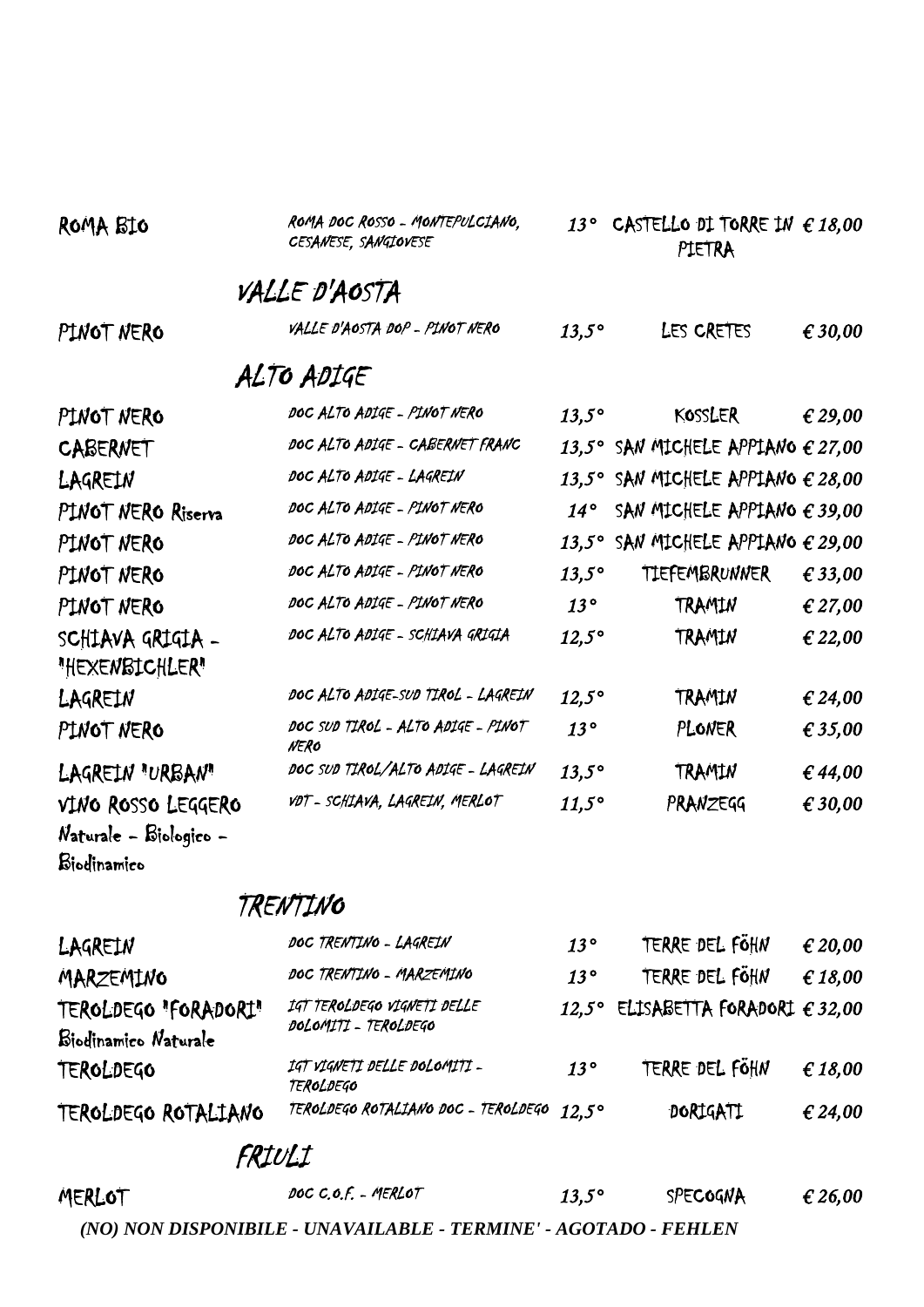| ROMA BIO                                                    | ROMA DOC ROSSO - MONTEPULCIANO.<br>CESANESE, SANGIOVESE | $13^\circ$   | CASTELLO DI TORRE IN $\epsilon$ 18,00<br>PIETRA |         |
|-------------------------------------------------------------|---------------------------------------------------------|--------------|-------------------------------------------------|---------|
|                                                             | VALLE D'AOSTA                                           |              |                                                 |         |
| PINOT NERO                                                  | VALLE D'AOSTA DOP - PINOT NERO                          | $13,5^\circ$ | LES CRETES                                      | € 30,00 |
|                                                             | ALTO ADIGE                                              |              |                                                 |         |
| PINOT NERO                                                  | DOC ALTO ADIGE - PINOT NERO                             | $13.5^\circ$ | KOSSLER                                         | € 29,00 |
| <b>CABERNET</b>                                             | DOC ALTO ADIGE - CABERNET FRANC                         |              | 13,5° SAN MICHELE APPIANO $\epsilon$ 27,00      |         |
| LAGREIN                                                     | DOC ALTO ADIGE - LAGREIN                                |              | 13,5° SAN MICHELE APPIANO $\epsilon$ 28,00      |         |
| PINOT NERO Riserra                                          | DOC ALTO ADIGE - PINOT NERO                             | $14^{\circ}$ | SAN MICHELE APPIANO $\epsilon$ 39,00            |         |
| PINOT NERO                                                  | DOC ALTO ADIGE - PINOT NERO                             | $13,5^\circ$ | SAN MICHELE APPIANO $\epsilon$ 29,00            |         |
| PINOT NERO                                                  | DOC ALTO ADIGE - PINOT NERO                             | $13,5^\circ$ | TIEFEMBRUNNER                                   | € 33,00 |
| PINOT NERO                                                  | DOC ALTO ADIGE - PINOT NERO                             | $13^{\circ}$ | TRAMIN                                          | € 27,00 |
| SCHIAVA GRIGIA -<br>"HEXENBICHLER"                          | DOC ALTO ADIGE - SCHIAVA GRIGIA                         | $12,5^\circ$ | TRAMIN                                          | € 22,00 |
| LAGREIN                                                     | DOC ALTO ADIGE-SUD TIROL - LAGREIN                      | $12,5^\circ$ | TRAMIN                                          | € 24,00 |
| PINOT NERO                                                  | DOC SUD TIROL - ALTO ADIGE - PINOT<br>NERO              | $13^{\circ}$ | PLONER                                          | € 35,00 |
| LAGREIN "URBAN"                                             | DOC SUD TIROL/ALTO ADIGE - LAGREIN                      | $13,5^\circ$ | TRAMIN                                          | € 44,00 |
| VINO ROSSO LEGGERO<br>Naturale - Biologico -<br>Biodinamico | VDT - SCHIAVA, LAGREIN, MERLOT                          | $11,5^\circ$ | PRANZEGG                                        | € 30,00 |

## TRENTINO

| LAGREIN                                      | DOC TRENTINO - LAGREIN                              | $13^{\circ}$ | TERRE DEL FÖHN                             | € 20,00 |
|----------------------------------------------|-----------------------------------------------------|--------------|--------------------------------------------|---------|
| MARZEMINO                                    | DOC TRENTINO - MARZEMINO                            | $13^\circ$   | TERRE DEL FÖHN                             | £ 18,00 |
| TEROLDEGO "FORADORI"<br>Biodinamico Naturale | IGT TEROLDEGO VIGNETI DELLE<br>DOLOMITI - TEROLDEGO |              | 12,5° ELISABETTA FORADORI $\epsilon$ 32,00 |         |
| TEROLDEGO                                    | IGT VIGNETI DELLE DOLOMITI -<br><b>TEROLDEGO</b>    | $13^{\circ}$ | TERRE DEL FÖHN                             | € 18,00 |
| TEROLDEGO ROTALIANO                          | TEROLDEGO ROTALIANO DOC - TEROLDEGO 12.5º           |              | DORIGATI                                   | € 24,00 |

## FRIULI

| MERLOT | DOC C.O.F. - MERLOT                                              | $13.5^\circ$ | SPECOGNA | € 26,00 |
|--------|------------------------------------------------------------------|--------------|----------|---------|
|        | (NO) NON DISPONIBILE - UNAVAILABLE - TERMINE' - AGOTADO - FEHLEN |              |          |         |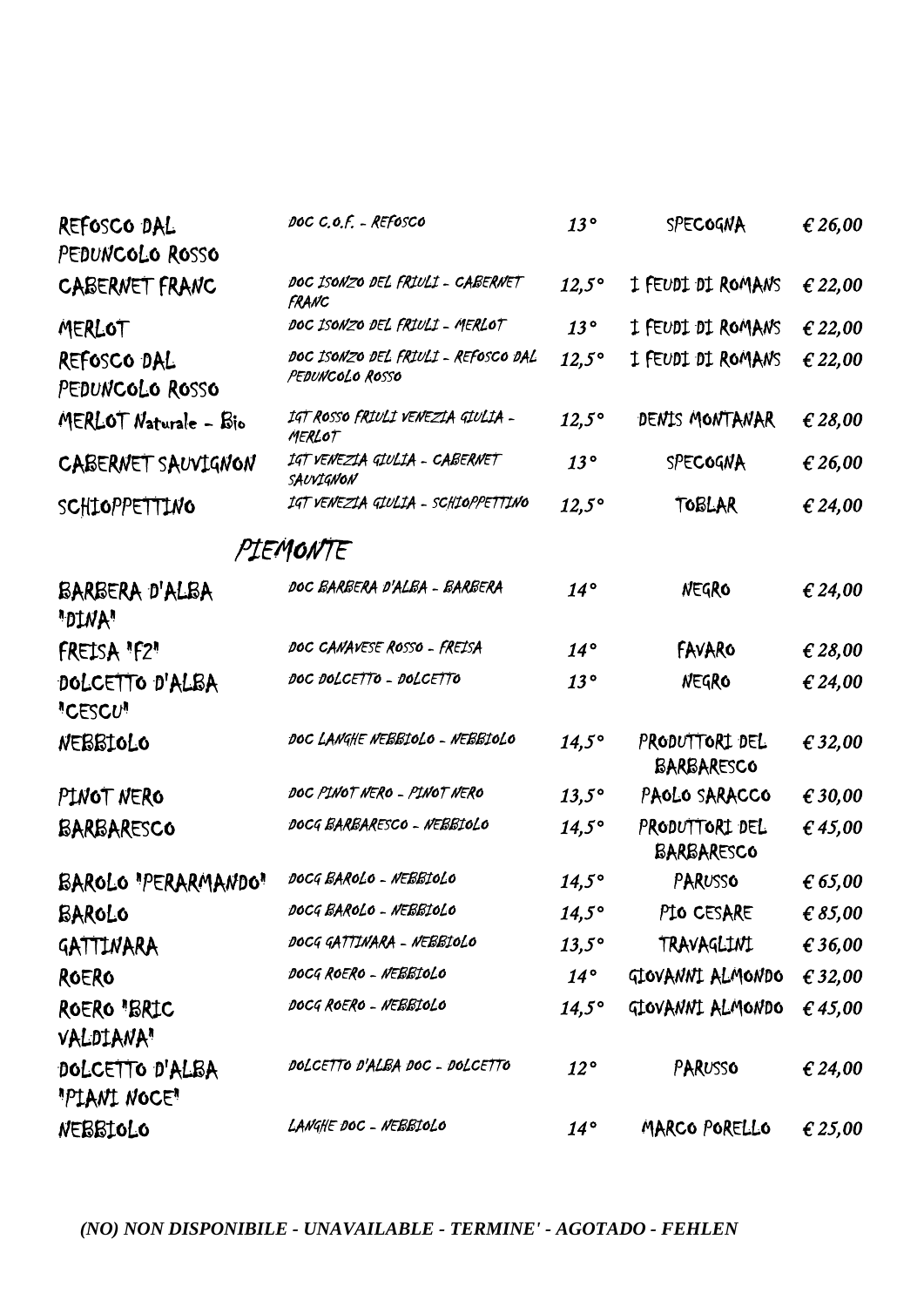| REFOSCO DAL                       | DOC C.O.F. - REFOSCO                                   | 13°            | SPECOGNA                     | € 26,00          |
|-----------------------------------|--------------------------------------------------------|----------------|------------------------------|------------------|
| PEDUNCOLO ROSSO                   |                                                        |                |                              |                  |
| <b>CABERNET FRANC</b>             | DOC ISONZO DEL FRIULI - CABERNET<br>FRANC              | $12,5^\circ$   | I FEUDI DI ROMANS            | € 22,00          |
| MERLOT                            | DOC ISONZO DEL FRIULI - MERLOT                         | 13°            | I FEUDI DI ROMANS            | € 22,00          |
| REFOSCO DAL<br>PEDUNCOLO ROSSO    | DOC ISONZO DEL FRIULI - REFOSCO DAL<br>PEDUNCOLO ROSSO | $12,5^\circ$   | I FEUDI DI ROMANS            | € 22,00          |
| MERLOT Naturale - Bio             | IGT ROSSO FRIULI VENEZIA GIULIA -<br>MERLOT            | $12,5^\circ$   | DENTS MONTANAR               | € 28,00          |
| CABERNET SAUVIGNON                | IGT VENEZIA GIULIA - CABERNET<br>SAUVIGNON             | 13°            | SPECOGNA                     | € 26,00          |
| SCHIOPPETTINO                     | IGT VENEZIA GIULIA - SCHIOPPETTINO                     | $12,5^\circ$   | TOBLAR                       | € 24,00          |
|                                   | PIEMONTE                                               |                |                              |                  |
| BARBERA D'ALBA<br>"DINA"          | DOC BARBERA D'ALBA - BARBERA                           | $14^{\circ}$   | NEGRO                        | € 24,00          |
| FREISA "F2"                       | DOC CANAVESE ROSSO - FREISA                            | $14^{\circ}$   | FAVARO                       | € 28,00          |
| DOLCETTO D'ALBA<br><b>"CESCU"</b> | DOC DOLCETTO - DOLCETTO                                | 13°            | NEGRO                        | € 24,00          |
| NEBBIOLO                          | DOC LANGHE NEBBIOLO - NEBBIOLO                         | $14.5^\circ$   | PRODUTTORI DEL<br>BARBARESCO | € 32,00          |
| PINOT NERO                        | DOC PINOT NERO - PINOT NERO                            | $13,5^\circ$   | PAOLO SARACCO                | € 30,00          |
| BARBARESCO                        | DOCG BARBARESCO - NEBBIOLO                             | $14,5^\circ$   | PRODUTTORI DEL<br>BARBARESCO | € 45,00          |
| BAROLO "PERARMANDO"               | DOCG BAROLO - NEBBIOLO                                 | $14,5^\circ$   | PARUSSO                      | $\epsilon$ 65,00 |
| BAROLO                            | DOCG BAROLO - NEBBIOLO                                 | $14,5^\circ$   | PIO CESARE                   | € $85,00$        |
| GATTINARA                         | DOCG GATTINARA - NEBBIOLO                              | $13,5^\circ$   | TRAVAGLINI                   | € 36,00          |
| ROERO                             | DOCG ROERO - NEBBIOLO                                  | $14^{\circ}$   | GIOVANNI ALMONDO             | € 32,00          |
| ROERO "BRIC<br><b>VALDIANA</b> "  | DOCG ROERO - NEBBIOLO                                  | $14,5^{\circ}$ | GIOVANNI ALMONDO             | € 45,00          |
| DOLCETTO D'ALBA<br>"PIANI NOCE"   | DOLCETTO D'ALBA DOC - DOLCETTO                         | $12^{\circ}$   | PARUSSO                      | € 24,00          |
| NEBBIOLO                          | LANGHE DOC - NEBBIOLO                                  | $14^{\circ}$   | MARCO PORELLO                | € 25,00          |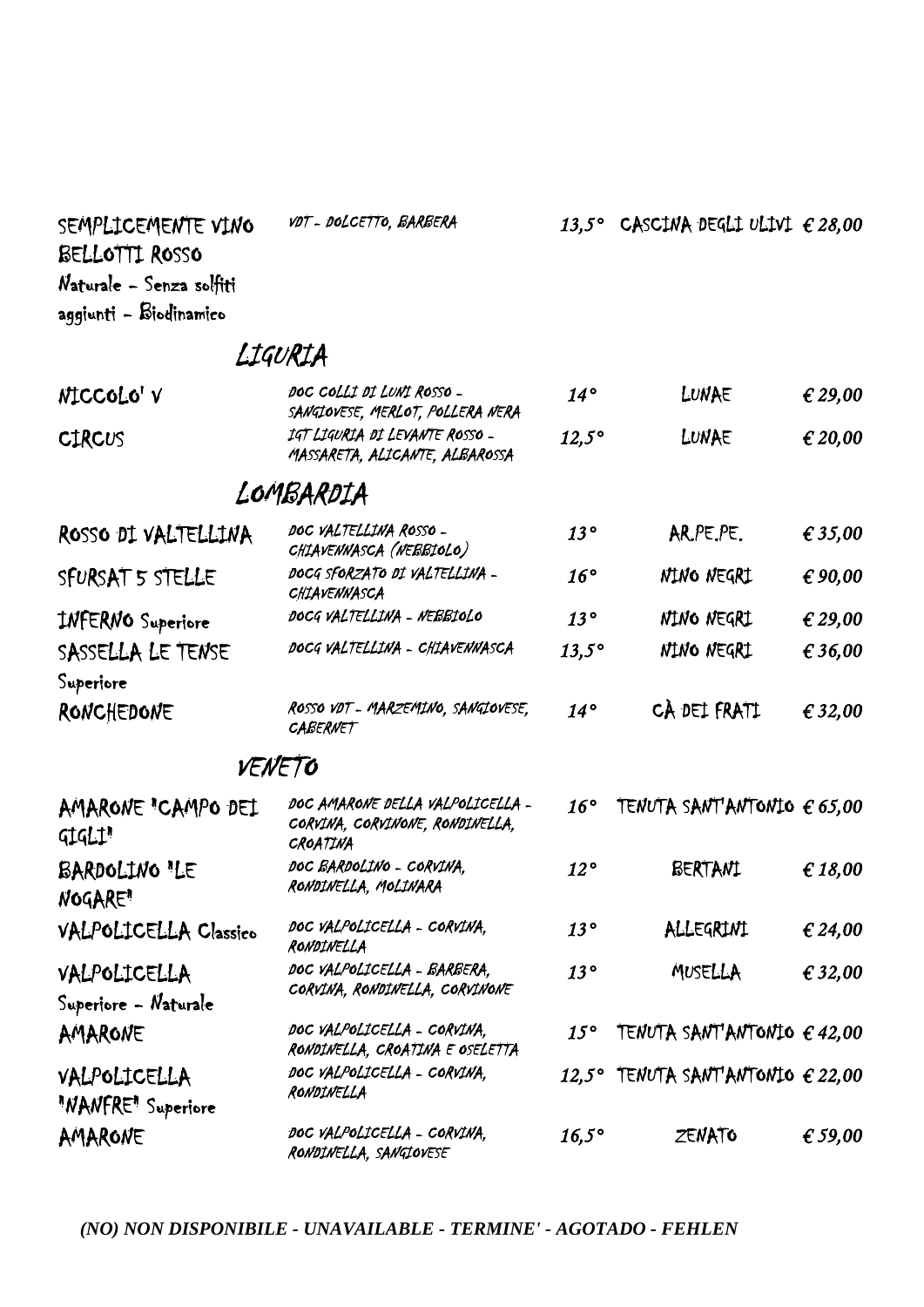SEMPLICEMENTE VINO NOT-DOLCETTO, BARBERA BELLOTTI ROSSO Naturale - Senza solfiti aggiunti - Biodinamico

## LIGURIA

| NICCOLO' V                          | DOC COLLI DI LUNI ROSSO -<br>SANGIOVESE, MERLOT, POLLERA NERA                   | $14^{\circ}$ | LUNAE                                      | € 29,00 |
|-------------------------------------|---------------------------------------------------------------------------------|--------------|--------------------------------------------|---------|
| <b>CIRCUS</b>                       | IGT LIGURIA DI LEVANTE ROSSO -<br>MASSARETA, ALICANTE, ALBAROSSA                | $12,5^\circ$ | LUNAE                                      | € 20,00 |
|                                     | LOMBARDIA                                                                       |              |                                            |         |
| ROSSO DI VALTELLINA                 | DOC VALTELLINA ROSSO -<br>CHIAVENNASCA (NEBBIOLO)                               | 13°          | AR.PE.PE.                                  | € 35,00 |
| SFURSAT 5 STELLE                    | DOCG SFORZATO DI VALTELLINA -<br>CHIAVENNASCA                                   | $16^{\circ}$ | NINO NEGRI                                 | € 90,00 |
| <b>INFERNO</b> Superiore            | DOCG VALTELLINA - NEBBIOLO                                                      | 13°          | NINO NEGRI                                 | € 29,00 |
| SASSELLA LE TENSE                   | DOCG VALTELLINA - CHIAVENNASCA                                                  | $13,5^\circ$ | NINO NEGRI                                 | € 36,00 |
| Superiore                           |                                                                                 |              |                                            |         |
| RONCHEDONE                          | ROSSO VDT - MARZEMINO, SANGIOVESE,<br><b>CABERNET</b>                           | $14^{\circ}$ | CÀ DEI FRATI                               | € 32,00 |
|                                     | VENETO                                                                          |              |                                            |         |
| AMARONE "CAMPO DEL<br><b>GIGLI'</b> | DOC AMARONE DELLA VALPOLICELLA -<br>CORVINA, CORVINONE, RONDINELLA,<br>CROATINA | $16^{\circ}$ | TENUTA SANT'ANTONIO $\epsilon$ 65,00       |         |
| BARDOLINO "LE<br><b>NOGARE</b> "    | DOC BARDOLINO - CORVINA.<br>RONDINELLA, MOLINARA                                | $12^{\circ}$ | BERTANI                                    | €18,00  |
| <b>VALPOLICELLA Classico</b>        | DOC VALPOLICELLA - CORVINA,<br>RONDINELLA                                       | 13°          | ALLEGRINI                                  | € 24,00 |
| VALPOLICELLA                        | DOC VALPOLICELLA - BARBERA,<br>CORVINA, RONDINELLA, CORVINONE                   | 13°          | MUSELLA                                    | € 32,00 |
| Superiore - Naturale                |                                                                                 |              |                                            |         |
| AMARONE                             | DOC VALPOLICELLA - CORVINA,<br>RONDINELLA, CROATINA E OSELETTA                  | $15^{\circ}$ | TENUTA SANT'ANTONIO $\epsilon$ 42,00       |         |
| VALPOLICELLA<br>"NANFRE" Superiore  | DOC VALPOLICELLA - CORVINA.<br>RONDINELLA                                       |              | 12,5° TENUTA SANT'ANTONIO $\epsilon$ 22,00 |         |
| AMARONE                             | DOC VALPOLICELLA - CORVINA.<br>RONDINELLA, SANGIOVESE                           | $16,5^\circ$ | ZENATO                                     | € 59,00 |

VDT - DOLCETTO, BARBERA *13,5°* CASCINA DEGLI ULIVI *€ 28,00*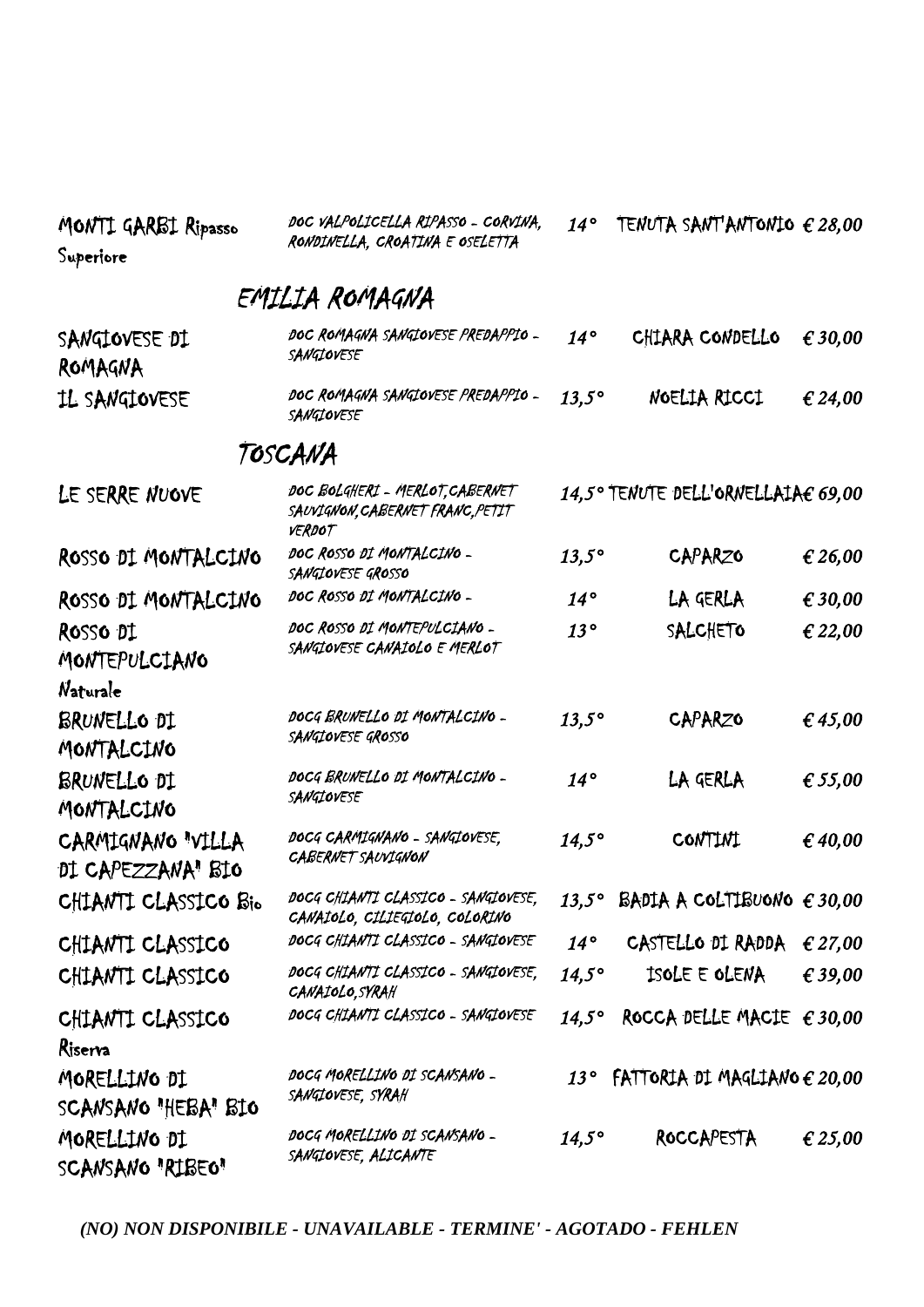| MONTI GARBI Ripasso<br>Superiore       | DOC VALPOLICELLA RIPASSO - CORVINA,<br>RONDINELLA, CROATINA E OSELETTA               | 14°            | TENUTA SANT'ANTONIO $\epsilon$ 28,00  |         |
|----------------------------------------|--------------------------------------------------------------------------------------|----------------|---------------------------------------|---------|
|                                        | EMILIA ROMAGNA                                                                       |                |                                       |         |
| SANGIOVESE DI<br>ROMAGNA               | DOC ROMAGNA SANGIOVESE PREDAPPIO -<br>SANGIOVESE                                     | $14^{\circ}$   | CHIARA CONDELLO                       | € 30,00 |
| IL SANGIOVESE                          | DOC ROMAGNA SANGIOVESE PREDAPPIO -<br>SANGIOVESE                                     | $13,5^\circ$   | NOELIA RICCI                          | € 24,00 |
|                                        | TOSCANA                                                                              |                |                                       |         |
| LE SERRE NUOVE                         | DOC BOLGHERI - MERLOT, CABERNET<br>SAUVIGNON, CABERNET FRANC, PETIT<br><b>VERDOT</b> |                | 14,5° TENUTE DELL'ORNELLAIAE 69,00    |         |
| ROSSO DI MONTALCINO                    | DOC ROSSO DI MONTALCINO -<br>SANGIOVESE GROSSO                                       | $13,5^\circ$   | CAPARZO                               | € 26,00 |
| ROSSO DI MONTALCINO                    | DOC ROSSO DI MONTALCINO -                                                            | $14^{\circ}$   | LA GERLA                              | € 30,00 |
| ROSSO DI<br>MONTEPULCIANO              | DOC ROSSO DI MONTEPULCIANO -<br>SANGIOVESE CANAIOLO E MERLOT                         | 13°            | SALCHETO                              | € 22,00 |
| Naturale<br>BRUNELLO DI<br>MONTALCINO  | DOCG BRUNELLO DI MONTALCINO -<br>SANGIOVESE GROSSO                                   | $13,5^\circ$   | CAPARZO                               | € 45,00 |
| BRUNELLO DI<br>MONTALCINO              | DOCG BRUNELLO DI MONTALCINO -<br>SANGIOVESE                                          | $14^\circ$     | LA GERLA                              | € 55,00 |
| CARMIGNANO "VILLA<br>DI CAPEZZANA" BIO | DOCG CARMIGNANO - SANGIOVESE,<br><b>CABERNET SAUVIGNON</b>                           | $14,5^{\circ}$ | <b>CONTINI</b>                        | € 40,00 |
| CHIANTI CLASSICO Bio                   | DOCG CHIANTI CLASSICO - SANGIOVESE.<br>CANAIOLO, CILIEGIOLO, COLORINO                | $13,5^{\circ}$ | BADIA A COLTIBUONO $\epsilon$ 30,00   |         |
| CHIANTI CLASSICO                       | DOCG CHIANTI CLASSICO - SANGIOVESE                                                   | $14^{\circ}$   | CASTELLO DI RADDA                     | € 27,00 |
| CHIANTI CLASSICO                       | DOCG CHIANTI CLASSICO - SANGIOVESE,<br>CANAIOLO, SYRAH                               | $14,5^\circ$   | ISOLE E OLENA                         | € 39,00 |
| CHIANTI CLASSICO<br>Riserva            | DOCG CHIANTI CLASSICO - SANGIOVESE                                                   | $14,5^\circ$   | ROCCA DELLE MACIE $\epsilon$ 30,00    |         |
| MORELLINO DI<br>SCANSANO "HEBA" BIO    | DOCG MORELLINO DI SCANSANO -<br>SANGIOVESE, SYRAH                                    | $13^{\circ}$   | FATTORIA DI MAGLIANO $\epsilon$ 20,00 |         |
| MORELLINO DI<br>SCANSANO "RIBEO"       | DOCG MORELLINO DI SCANSANO -<br>SANGIOVESE, ALICANTE                                 | $14,5^{\circ}$ | ROCCAPESTA                            | € 25,00 |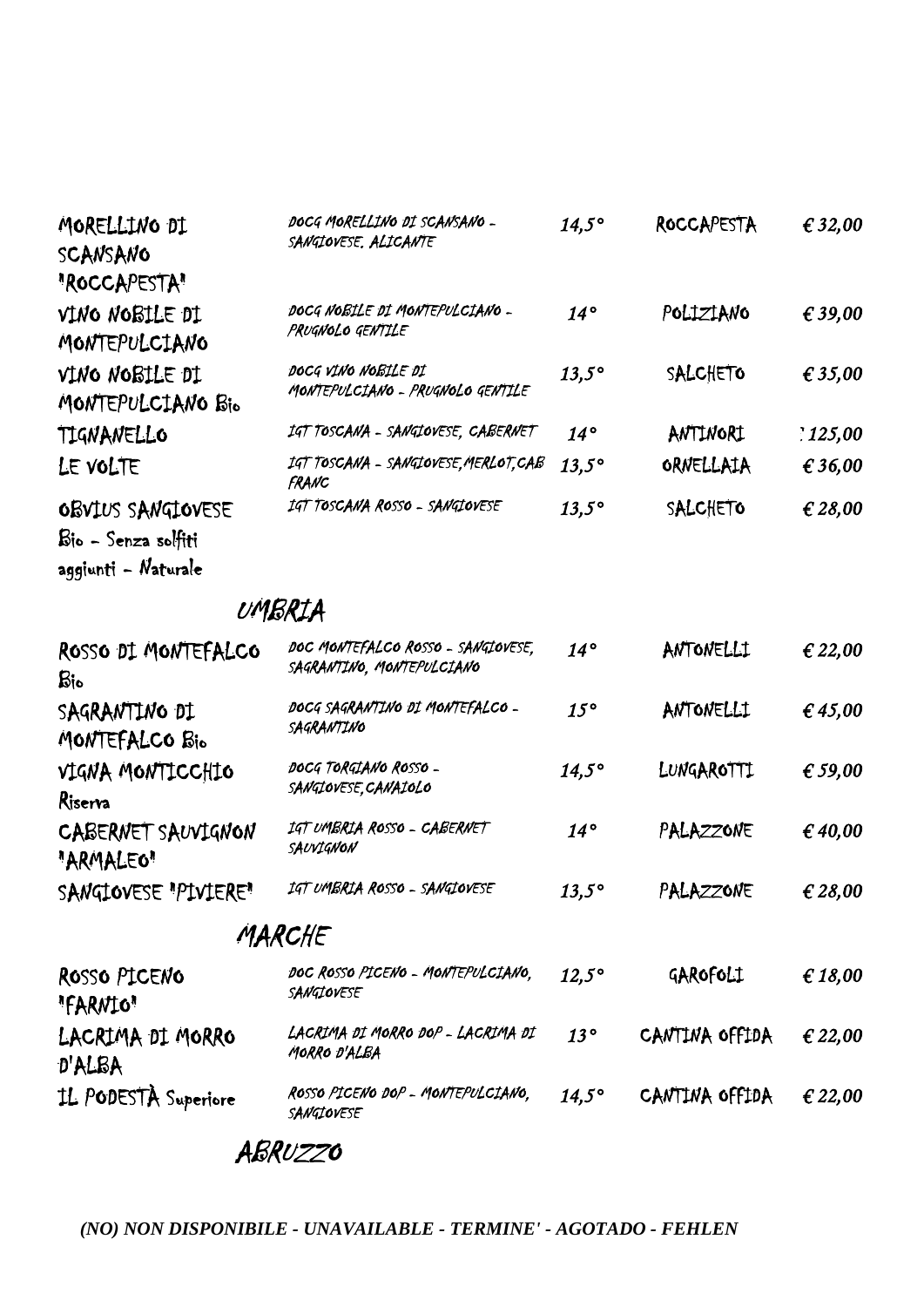| MORELLINO DI<br>SCANSANO                 | DOCG MORELLINO DI SCANSANO -<br>SANGIOVESE, ALICANTE    | $14.5^\circ$ | <b>ROCCAPESTA</b> | € 32,00          |
|------------------------------------------|---------------------------------------------------------|--------------|-------------------|------------------|
| "ROCCAPESTA"                             |                                                         |              |                   |                  |
| VINO NOBILE DI<br>MONTEPULCIANO          | DOCG NOBILE DI MONTEPULCIANO -<br>PRUGNOLO GENTILE      | $14^\circ$   | POLIZIANO         | € 39,00          |
| VINO NOBILE DI<br>MONTEPULCIANO Bio      | DOCG VINO NOBILE DI<br>MONTEPULCIANO - PRUGNOLO GENTILE | $13,5^\circ$ | SALCHETO          | $\epsilon$ 35,00 |
| TIGNANELLO                               | IGT TOSCANA - SANGIOVESE, CABERNET                      | $14^{\circ}$ | ANTINORI          | : 125,00         |
| LE VOLTE                                 | IGT TOSCANA - SANGIOVESE, MERLOT, CAB<br>FRANC          | $13.5^\circ$ | ORNELLAIA         | € 36,00          |
| OBVIUS SANGIOVESE<br>Bio - Senza solfiti | IGT TOSCANA ROSSO - SANGIOVESE                          | $13,5^\circ$ | SALCHETO          | € 28,00          |

aggiunti - Naturale

## UMBRIA

| ROSSO DI MONTEFALCO<br>Bio      | DOC MONTEFALCO ROSSO - SANGIOVESE,<br>SAGRANTINO, MONTEPULCIANO | $14^{\circ}$   | ANTONELLI      | € 22,00 |
|---------------------------------|-----------------------------------------------------------------|----------------|----------------|---------|
| SAGRANTINO DI<br>MONTEFALCO Bio | DOCG SAGRANTINO DI MONTEFALCO -<br>SAGRANTINO                   | $15^{\circ}$   | ANTONELLI      | € 45,00 |
| VIGNA MONTICCHIO<br>Riserva     | DOCG TORGIANO ROSSO -<br>SANGIOVESE, CANAIOLO                   | $14,5^\circ$   | LUNGAROTTI     | € 59,00 |
| CABERNET SAUVIGNON<br>"ARMALEO" | IGT UMBRIA ROSSO - CABERNET<br>SAUVIGNON                        | $14^{\circ}$   | PALAZZONE      | € 40,00 |
| SANGIOVESE "PIVIERE"            | IGT UMBRIA ROSSO - SANGIOVESE                                   | $13,5^\circ$   | PALAZZONE      | € 28,00 |
|                                 | MARCHE                                                          |                |                |         |
| ROSSO PICENO<br>"FARNIO"        | DOC ROSSO PICENO - MONTEPULCIANO.<br>SANGIOVESE                 | $12,5^\circ$   | GAROFOLI       | € 18,00 |
| LACRIMA DI MORRO<br>D'ALBA      | LACRIMA DI MORRO DOP - LACRIMA DI<br>MORRO D'ALBA               | 13°            | CANTINA OFFIDA | € 22,00 |
| IL PODESTÀ Superiore            | ROSSO PICENO DOP - MONTEPULCIANO,<br>SANGIOVESE                 | $14,5^{\circ}$ | CANTINA OFFIDA | € 22,00 |

## ABRUZZO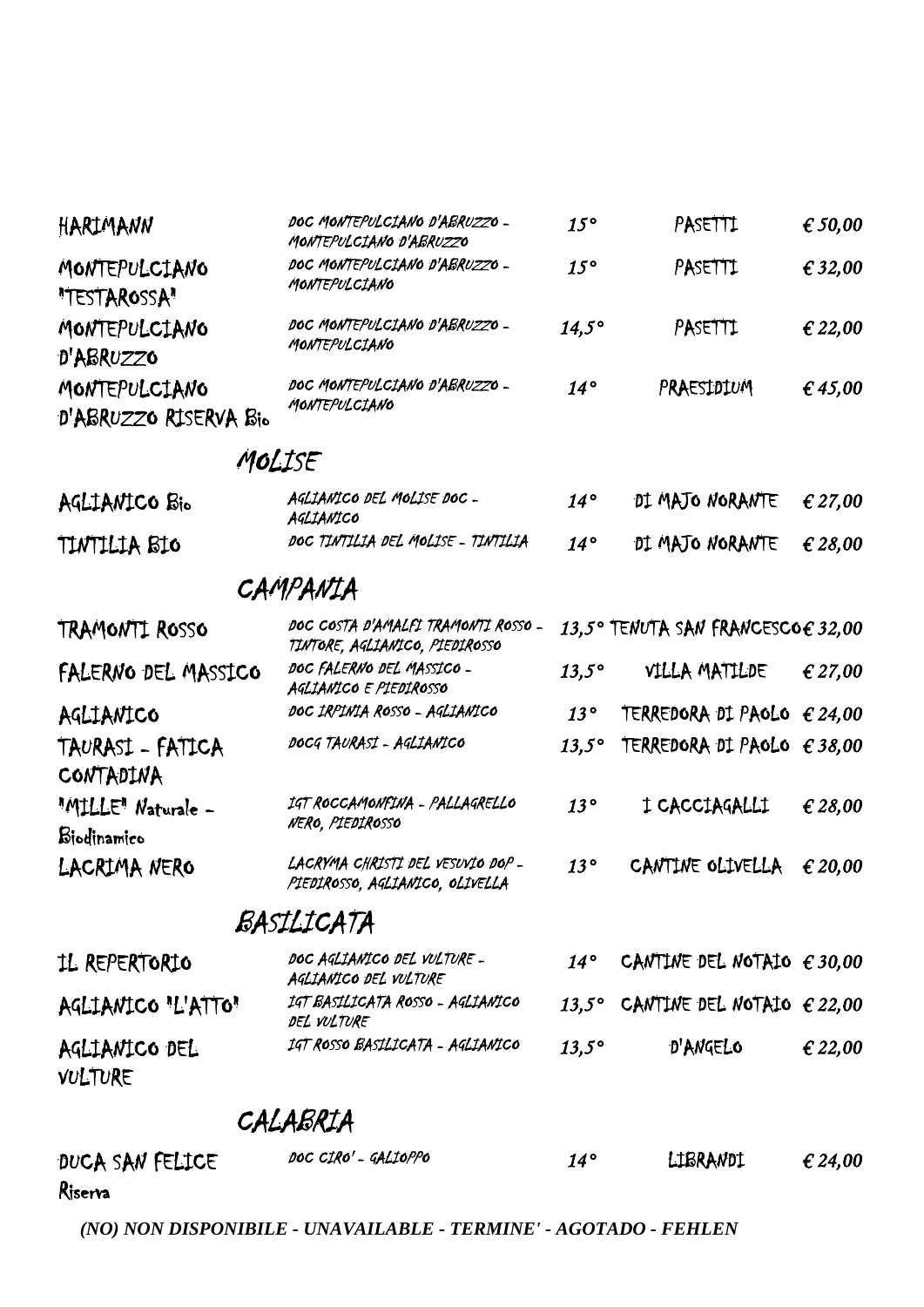| HARIMANN                               | DOC MONTEPULCIANO D'ABRUZZO -<br>MONTEPULCIANO D'ABRUZZO              | $15^{\circ}$ | PASETTI                                   | € 50,00          |
|----------------------------------------|-----------------------------------------------------------------------|--------------|-------------------------------------------|------------------|
| MONTEPULCIANO<br>"TESTAROSSA"          | DOC MONTEPULCIANO D'ABRUZZO -<br>MONTEPULCIANO                        | $15^{\circ}$ | PASETTI                                   | € 32,00          |
| MONTEPULCIANO<br>D'ABRUZZO             | DOC MONTEPULCIANO D'ABRUZZO -<br>MONTEPULCIANO                        | $14,5^\circ$ | PASETTI                                   | € 22,00          |
| MONTEPULCIANO<br>D'ABRUZZO RISERVA Bio | DOC MONTEPULCIANO D'ABRUZZO -<br>MONTEPULCIANO                        | $14^{\circ}$ | PRAESIDIUM                                | £45,00           |
| MOLISE                                 |                                                                       |              |                                           |                  |
| AGLIANICO Bio                          | AGLIANICO DEL MOLISE DOC-<br>AGLIANICO                                | $14^{\circ}$ | DI MAJO NORANTE                           | € 27,00          |
| TINTILIA BIO                           | DOC TINTILIA DEL MOLISE - TINTILIA                                    | $14^{\circ}$ | DI MAJO NORANTE                           | € 28,00          |
|                                        | CAMPANIA                                                              |              |                                           |                  |
| TRAMONTI ROSSO                         | DOC COSTA D'AMALFI TRAMONTI ROSSO -<br>TINTORE, AGLIANICO, PIEDIROSSO |              | 13,5° TENUTA SAN FRANCESCOE 32,00         |                  |
| FALERNO DEL MASSICO                    | DOC FALERNO DEL MASSICO -<br>AGLIANICO E PIEDIROSSO                   | $13,5^\circ$ | VILLA MATILDE                             | € 27,00          |
| AGLIANICO                              | DOC IRPINIA ROSSO - AGLIANICO                                         | 13°          | TERREDORA DI PAOLO $\epsilon$ 24,00       |                  |
| TAURASI - FATICA<br>CONTADINA          | DOCG TAURASI - AGLIANICO                                              | $13.5^\circ$ | TERREDORA DI PAOLO $\epsilon$ 38,00       |                  |
| "MILLE" Naturale -<br>Biodinamico      | IGT ROCCAMONFINA - PALLAGRELLO<br>NERO, PIEDIROSSO                    | 13°          | I CACCIAGALLI                             | € 28,00          |
| LACRIMA NERO                           | LACRYMA CHRISTI DEL VESUVIO DOP-<br>PIEDIROSSO, AGLIANICO, OLIVELLA   | 13°          | CANTINE OLIVELLA                          | $\epsilon$ 20,00 |
|                                        | BASILICATA                                                            |              |                                           |                  |
| IL REPERTORIO                          | DOC AGLIANICO DEL VULTURE -<br>AGLIANICO DEL VULTURE                  | $14^{\circ}$ | CANTINE DEL NOTAIO $\epsilon$ 30,00       |                  |
| AGLIANICO "L'ATTO"                     | IGT BASILICATA ROSSO - AGLIANICO<br>DEL VULTURE                       |              | 13,5° CANTINE DEL NOTAIO $\epsilon$ 22,00 |                  |
| AGLIANICO DEL<br>VULTURE               | IGT ROSSO BASILICATA - AGLIANICO                                      | $13,5^\circ$ | D'ANGELO                                  | € 22,00          |
|                                        | CALABRIA                                                              |              |                                           |                  |
|                                        |                                                                       |              |                                           |                  |

DUCA SAN FELICE DOC CIRO'- GALIOPPO Riserva  $14^{\circ}$  LIBRANDI  $\epsilon$  24,00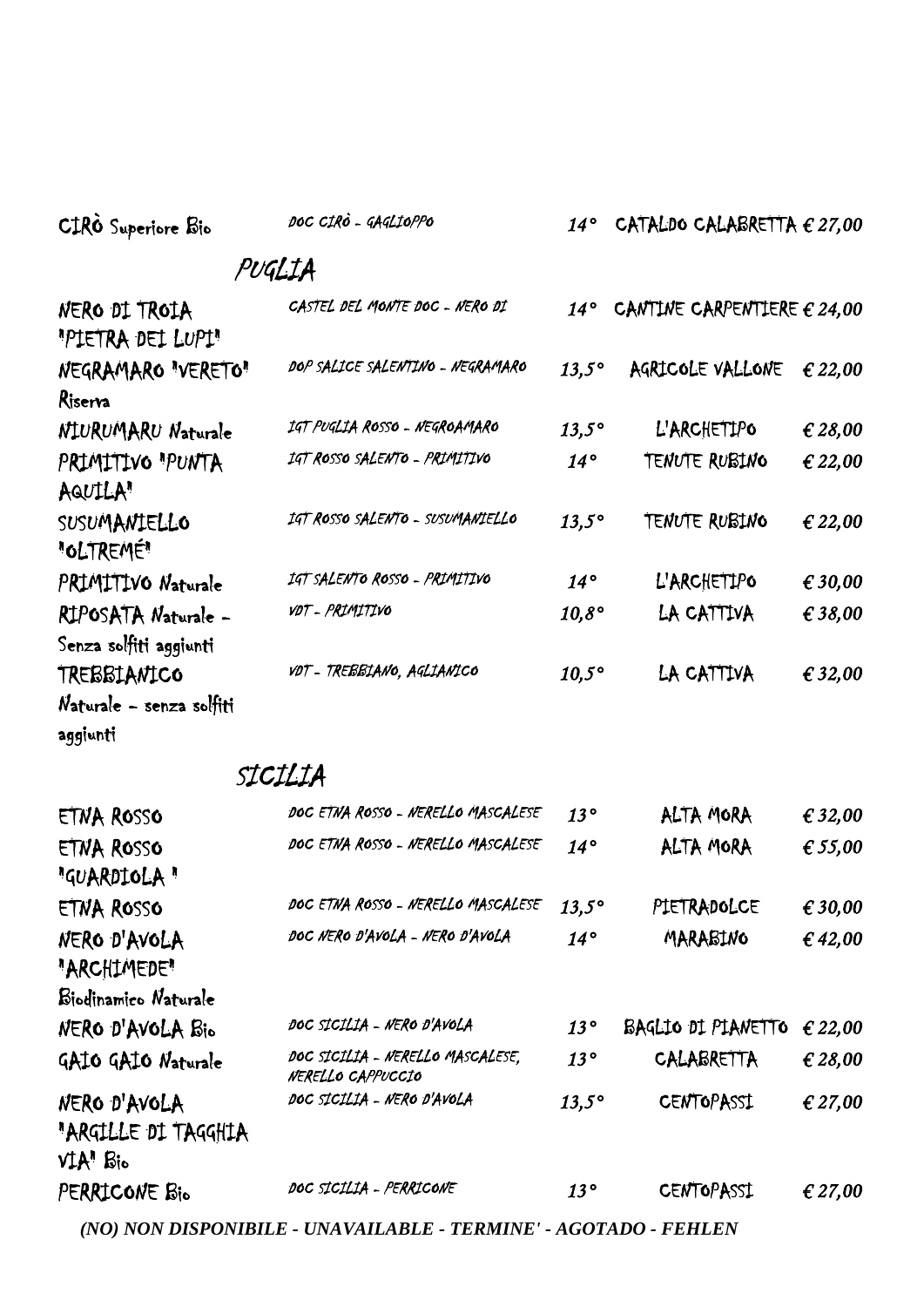| CIRO Superiore Bio                            | DOC CIRÒ - GAGLIOPPO               | $14^{\circ}$   | CATALDO CALABRETTA $\epsilon$ 27,00  |                  |
|-----------------------------------------------|------------------------------------|----------------|--------------------------------------|------------------|
|                                               | PUGLIA                             |                |                                      |                  |
| NERO DI TROIA<br>"PIETRA DEI LUPI"            | CASTEL DEL MONTE DOC - NERO DI     | $14^{\circ}$   | CANTINE CARPENTIERE $\epsilon$ 24,00 |                  |
| NEGRAMARO "VERETO"<br>Riserva                 | DOP SALICE SALENTINO - NEGRAMARO   | $13,5^\circ$   | AGRICOLE VALLONE                     | € 22,00          |
| NIURUMARU Naturale                            | IGT PUGLIA ROSSO - NEGROAMARO      | $13,5^\circ$   | L'ARCHETIPO                          | € 28,00          |
| PRIMITIVO "PUNTA<br>AQUILA"                   | IGT ROSSO SALENTO - PRIMITIVO      | $14^{\circ}$   | <b>TENUTE RUBINO</b>                 | € 22,00          |
| SUSUMANTELLO<br>"OLTREMÉ"                     | IGT ROSSO SALENTO - SUSUMANIELLO   | $13,5^\circ$   | TENUTE RUBINO                        | € 22,00          |
| PRIMITIVO Naturale                            | IGT SALENTO ROSSO - PRIMITIVO      | $14^{\circ}$   | L'ARCHETIPO                          | € 30,00          |
| RIPOSATA Naturale -<br>Senza solfiti aggiunti | VDT - PRIMITIVO                    | $10,8^\circ$   | LA CATTIVA                           | € 38,00          |
| TREBBIANICO                                   | vot - TREBBIANO, AGLIANICO         | $10,5^{\circ}$ | LA CATTIVA                           | € 32,00          |
| Naturale - senza solfiti<br>aggiunti          |                                    |                |                                      |                  |
|                                               | SICILIA                            |                |                                      |                  |
| FTNA ROSSO                                    | DOC ETNA ROSSO - NERELLO MASCALESE | $13^{\circ}$   | ALTA MORA                            | $\epsilon$ 32.00 |

| ETNA ROSSO           | DOC ETNA ROSSO - NERELLO MASCALESE                    | 13°          | ALTA MORA          | € 32,00 |
|----------------------|-------------------------------------------------------|--------------|--------------------|---------|
| ETNA ROSSO           | DOC ETNA ROSSO - NERELLO MASCALESE                    | $14^{\circ}$ | ALTA MORA          | € 55,00 |
| "GUARDIOLA"          |                                                       |              |                    |         |
| ETNA ROSSO           | DOC ETNA ROSSO - NERELLO MASCALESE                    | $13,5^\circ$ | PIETRADOLCE        | € 30,00 |
| NERO D'AVOLA         | DOC NERO D'AVOLA - NERO D'AVOLA                       | $14^{\circ}$ | MARABINO           | €42,00  |
| "ARCHIMEDE"          |                                                       |              |                    |         |
| Biodinamico Naturale |                                                       |              |                    |         |
| NERO D'AVOLA Bio     | DOC SICILIA - NERO D'AVOLA                            | 13°          | BAGLIO DI PIANETTO | € 22,00 |
| GAIO GAIO Naturale   | DOC SICILIA - NERELLO MASCALESE.<br>NERELLO CAPPUCCIO | 13°          | CALABRETTA         | € 28,00 |
| NERO D'AVOLA         | DOC SICILIA - NERO D'AVOLA                            | $13,5^\circ$ | <b>CENTOPASSI</b>  | € 27,00 |
| "ARGILLE DI TAGGHIA  |                                                       |              |                    |         |
| $VIAn$ $Bio$         |                                                       |              |                    |         |
| PERRICONE Bio        | DOC SICILIA - PERRICONE                               | 13°          | <b>CENTOPASSI</b>  | € 27,00 |
|                      |                                                       |              |                    |         |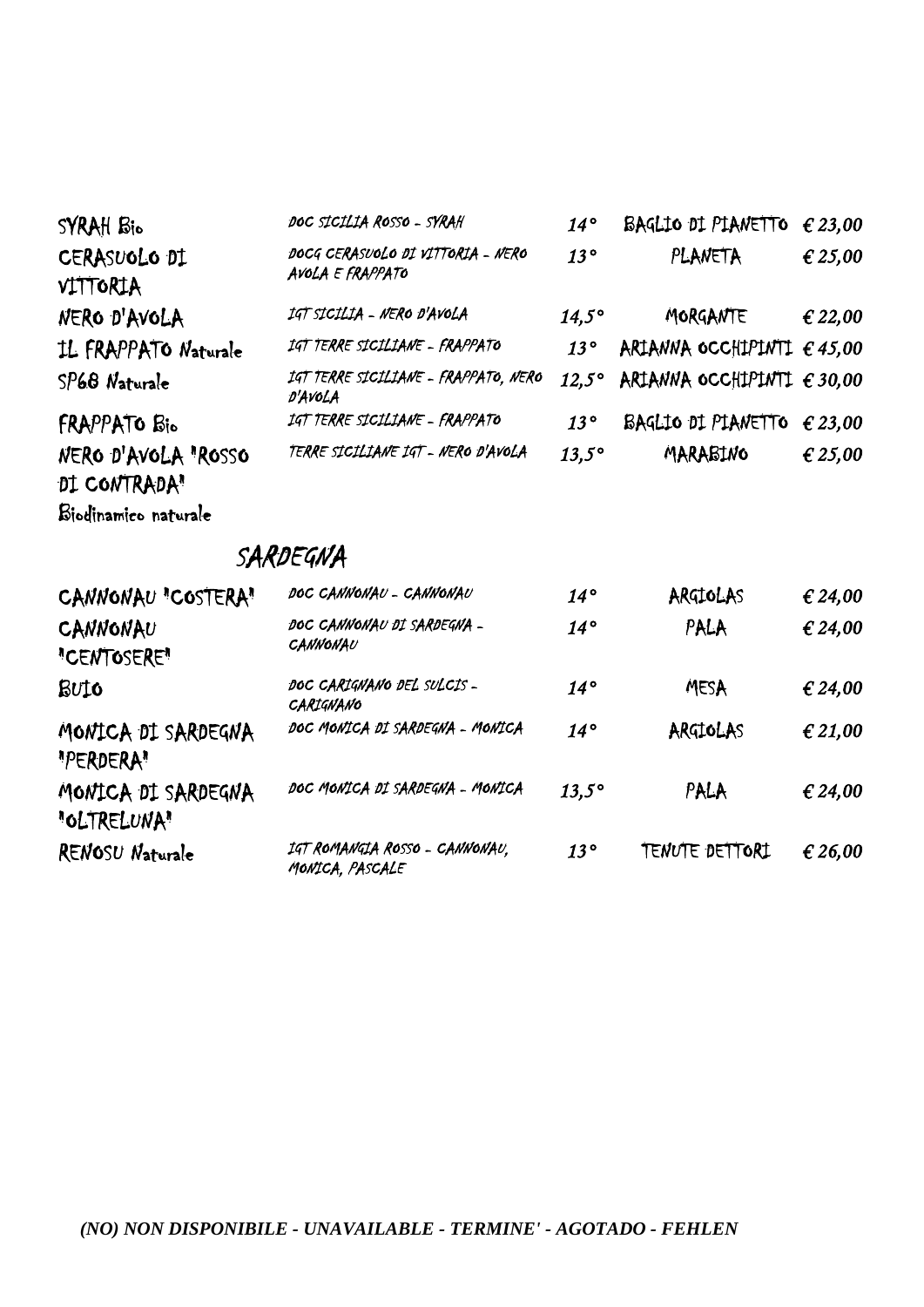| SYRAH Bio                | DOC SICILIA ROSSO - SYRAH                             | $14^{\circ}$ | BAGLIO DI PIANETTO                  | € 23,00          |
|--------------------------|-------------------------------------------------------|--------------|-------------------------------------|------------------|
| CERASUOLO DI<br>VITTORIA | DOCG CERASUOLO DI VITTORIA - NERO<br>AVOLA E FRAPPATO | 13°          | PLANETA                             | € 25,00          |
| NERO D'AVOLA             | IGT SICILIA - NERO D'AVOLA                            | $14.5^\circ$ | MORGANTE                            | € 22,00          |
| IL FRAPPATO Naturale     | IGT TERRE SICILIANE - FRAPPATO                        | $13^{\circ}$ | ARIANNA OCCHIPINTI $\epsilon$ 45,00 |                  |
| SP68 Naturale            | IGT TERRE SICILIANE - FRAPPATO, NERO<br>D'AVOLA       | $12.5^\circ$ | ARIANNA OCCHIPINTI $\epsilon$ 30.00 |                  |
| FRAPPATO Bio             | IGT TERRE SICILIANE - FRAPPATO                        | 13°          | BAGLIO DI PIANETTO                  | $\epsilon$ 23,00 |
| NERO D'AVOLA "ROSSO      | TERRE SICILIANE IGT - NERO D'AVOLA                    | $13.5^\circ$ | MARABINO                            | € 25,00          |
| DI CONTRADA"             |                                                       |              |                                     |                  |

SARDEGNA

Biodinamico naturale

| CANNONAU "COSTERA"                | DOC CANNONAU - CANNONAU                           | $14^{\circ}$ | ARGIOLAS       | € 24,00 |
|-----------------------------------|---------------------------------------------------|--------------|----------------|---------|
| CANNONAU<br>"CENTOSERE"           | DOC CANNONAU DI SARDEGNA -<br>CANNONAU            | $14^{\circ}$ | PALA           | € 24,00 |
| <b>BUIO</b>                       | DOC CARIGNANO DEL SULCIS-<br>CARIGNANO            | $14^{\circ}$ | MESA           | € 24,00 |
| MONICA DI SARDEGNA<br>"PERDERA"   | DOC MONICA DI SARDEGNA - MONICA                   | $14^{\circ}$ | ARGIOLAS       | € 21,00 |
| MONICA DI SARDEGNA<br>"OLTRELUNA" | DOC MONICA DI SARDEGNA - MONICA                   | $13,5^\circ$ | PALA           | € 24,00 |
| RENOSU Naturale                   | IGT ROMANGIA ROSSO - CANNONAU.<br>MONICA, PASCALE | $13^{\circ}$ | TENUTE DETTORI | € 26,00 |